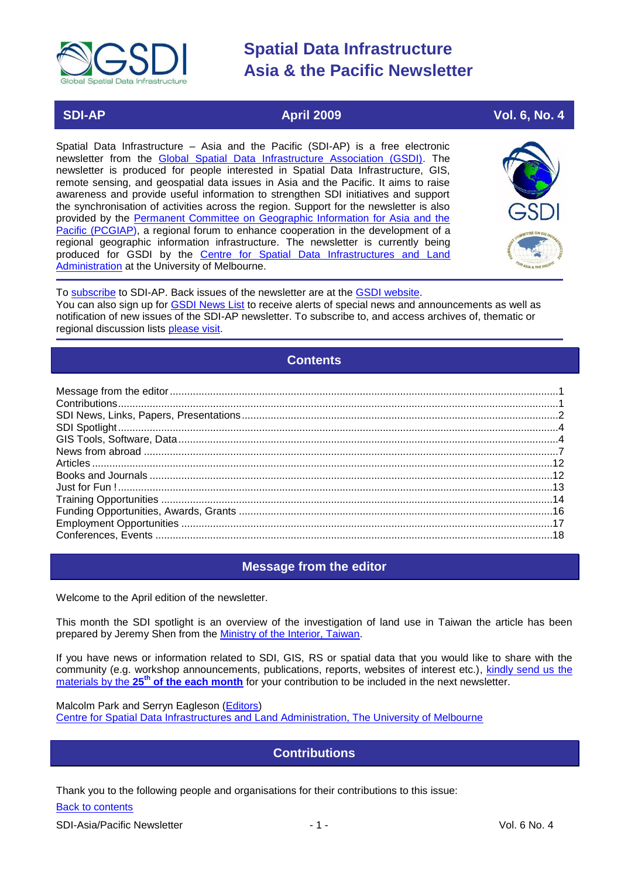<span id="page-0-2"></span>

### **SDI-AP April 2009 Vol. 6, No. 4**

Spatial Data Infrastructure – Asia and the Pacific (SDI-AP) is a free electronic newsletter from the [Global Spatial Data Infrastructure Association \(GSDI\).](http://www.gsdi.org/) The newsletter is produced for people interested in Spatial Data Infrastructure, GIS, remote sensing, and geospatial data issues in Asia and the Pacific. It aims to raise awareness and provide useful information to strengthen SDI initiatives and support the synchronisation of activities across the region. Support for the newsletter is also provided by the [Permanent Committee on Geographic Information for Asia and the](http://www.pcgiap.org/)  [Pacific \(PCGIAP\)](http://www.pcgiap.org/), a regional forum to enhance cooperation in the development of a regional geographic information infrastructure. The newsletter is currently being produced for GSDI by the [Centre for Spatial Data Infrastructures and Land](http://www.geom.unimelb.edu.au/research/SDI_research/index.html)  [Administration](http://www.geom.unimelb.edu.au/research/SDI_research/index.html) at the University of Melbourne.



To [subscribe](http://www.gsdi.org/newslist/gsdisubscribe.asp) to SDI-AP. Back issues of the newsletter are at the [GSDI website.](http://www.gsdi.org/newsletters.asp) You can also sign up for **GSDI News List** to receive alerts of special news and announcements as well as notification of new issues of the SDI-AP newsletter. To subscribe to, and access archives of, thematic or regional discussion lists [please visit.](http://www.gsdi.org/discussionlists.asp)

### **Contents**

<span id="page-0-3"></span>

### **Message from the editor**

<span id="page-0-0"></span>Welcome to the April edition of the newsletter.

This month the SDI spotlight is an overview of the investigation of land use in Taiwan the article has been prepared by Jeremy Shen from the [Ministry of the Interior, Taiwan.](http://www.moi.gov.tw/english/index.aspx)

If you have news or information related to SDI, GIS, RS or spatial data that you would like to share with the community (e.g. workshop announcements, publications, reports, websites of interest etc.), [kindly send us](mailto:sdi-ap@gsdi.org) the materials by the **25th [of the each month](mailto:sdi-ap@gsdi.org)** for your contribution to be included in the next newsletter.

<span id="page-0-1"></span>Malcolm Park and Serryn Eagleson [\(Editors\)](mailto:Editor.SDIAP@gmail.com) [Centre for Spatial Data Infrastructures and Land Administration, The University of Melbourne](http://www.geom.unimelb.edu.au/research/SDI_research/index.html) 

### **Contributions**

Thank you to the following people and organisations for their contributions to this issue:

Back to contents

SDI-Asia/Pacific Newsletter  $\overline{1}$  - 1 -  $\overline{2}$  - 1 -  $\overline{2}$  Vol. 6 No. 4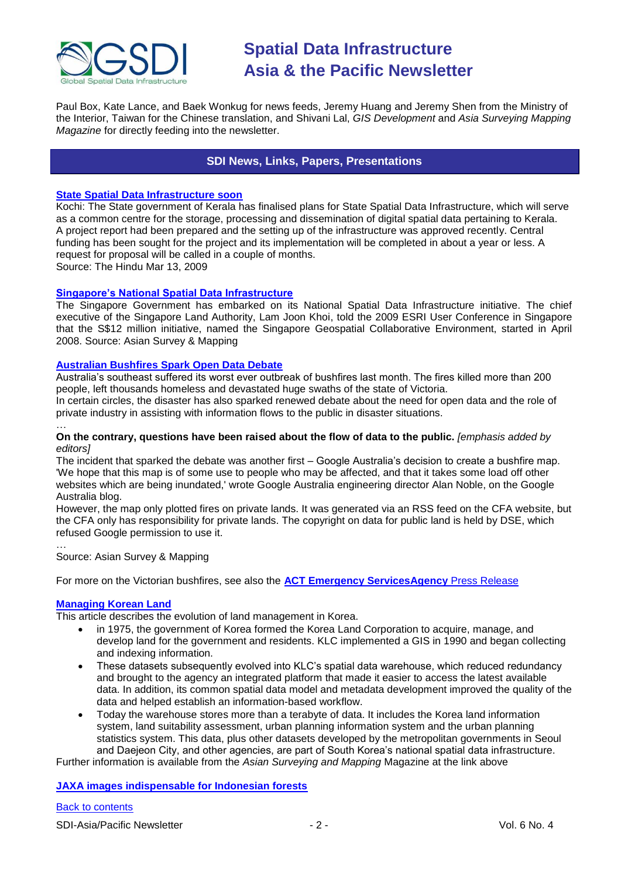

Paul Box, Kate Lance, and Baek Wonkug for news feeds, Jeremy Huang and Jeremy Shen from the Ministry of the Interior, Taiwan for the Chinese translation, and Shivani Lal, *GIS Development* and *Asia Surveying Mapping Magazine* for directly feeding into the newsletter.

### **SDI News, Links, Papers, Presentations**

#### <span id="page-1-0"></span>**[State Spatial Data Infrastructure soon](http://www.hindu.com/2009/03/13/stories/2009031357120400.htm)**

Kochi: The State government of Kerala has finalised plans for State Spatial Data Infrastructure, which will serve as a common centre for the storage, processing and dissemination of digital spatial data pertaining to Kerala. A project report had been prepared and the setting up of the infrastructure was approved recently. Central funding has been sought for the project and its implementation will be completed in about a year or less. A request for proposal will be called in a couple of months.

Source: The Hindu Mar 13, 2009

#### **[Singapore's National Spatial Data Infrastructure](http://www.asmmag.com/news/singapore-s-national-spatial-data-infrastructure)**

The Singapore Government has embarked on its National Spatial Data Infrastructure initiative. The chief executive of the Singapore Land Authority, Lam Joon Khoi, told the 2009 ESRI User Conference in Singapore that the S\$12 million initiative, named the Singapore Geospatial Collaborative Environment, started in April 2008. Source: Asian Survey & Mapping

#### **[Australian Bushfires Spark Open Data Debate](http://www.asmmag.com/news/australian-bushfires-spark-open-data-debate)**

Australia's southeast suffered its worst ever outbreak of bushfires last month. The fires killed more than 200 people, left thousands homeless and devastated huge swaths of the state of Victoria.

In certain circles, the disaster has also sparked renewed debate about the need for open data and the role of private industry in assisting with information flows to the public in disaster situations.

#### **On the contrary, questions have been raised about the flow of data to the public.** *[emphasis added by editors]*

The incident that sparked the debate was another first – Google Australia's decision to create a bushfire map. 'We hope that this map is of some use to people who may be affected, and that it takes some load off other websites which are being inundated,' wrote Google Australia engineering director Alan Noble, on the Google Australia blog.

However, the map only plotted fires on private lands. It was generated via an RSS feed on the CFA website, but the CFA only has responsibility for private lands. The copyright on data for public land is held by DSE, which refused Google permission to use it.

… Source: Asian Survey & Mapping

For more on the Victorian bushfires, see also the **[ACT Emergency ServicesAgency](http://www.esa.act.gov.au/ESAWebsite/content_esa/media_page/2009___016_esa_maps_team_play_major_role_in_vic_fire_emergency.pdf)** Press Release

#### **[Managing Korean Land](http://www.asmmag.com/features/managing-korean-land)**

…

This article describes the evolution of land management in Korea.

- in 1975, the government of Korea formed the Korea Land Corporation to acquire, manage, and develop land for the government and residents. KLC implemented a GIS in 1990 and began collecting and indexing information.
- These datasets subsequently evolved into KLC's spatial data warehouse, which reduced redundancy and brought to the agency an integrated platform that made it easier to access the latest available data. In addition, its common spatial data model and metadata development improved the quality of the data and helped establish an information-based workflow.
- Today the warehouse stores more than a terabyte of data. It includes the Korea land information system, land suitability assessment, urban planning information system and the urban planning statistics system. This data, plus other datasets developed by the metropolitan governments in Seoul and Daejeon City, and other agencies, are part of South Korea's national spatial data infrastructure.

Further information is available from the *Asian Surveying and Mapping* Magazine at the link above

#### **[JAXA images indispensable for Indonesian forests](http://www.gisdevelopment.net/news/viewn.asp?id=GIS:N_sbmdigjnaf)**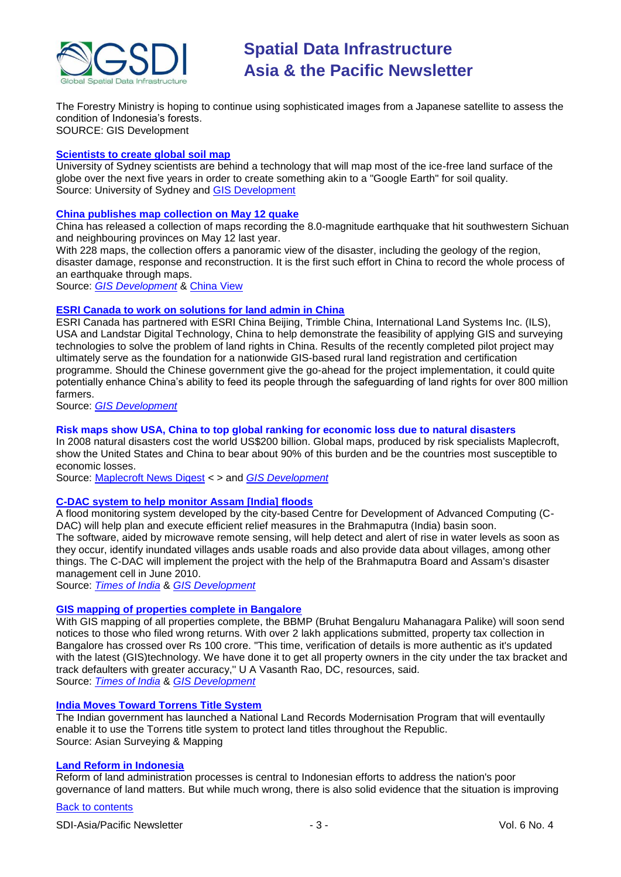![](_page_2_Picture_0.jpeg)

The Forestry Ministry is hoping to continue using sophisticated images from a Japanese satellite to assess the condition of Indonesia's forests. SOURCE: GIS Development

#### **[Scientists to create global soil map](http://www.usyd.edu.au/news/84.html?newsstoryid=3140)**

University of Sydney scientists are behind a technology that will map most of the ice-free land surface of the globe over the next five years in order to create something akin to a "Google Earth" for soil quality. Source: University of Sydney and [GIS Development](http://www.gisdevelopment.net/news/viewn.asp?id=GIS:N_ewlijcompr)

#### **[China publishes map collection on May 12 quake](http://news.xinhuanet.com/english/2009-03/19/content_11036793.htm)**

China has released a collection of maps recording the 8.0-magnitude earthquake that hit southwestern Sichuan and neighbouring provinces on May 12 last year.

With 228 maps, the collection offers a panoramic view of the disaster, including the geology of the region, disaster damage, response and reconstruction. It is the first such effort in China to record the whole process of an earthquake through maps.

Source: *[GIS Development](http://www.gisdevelopment.net/news/viewn.asp?id=GIS:N_shxnaqmbet)* & [China View](http://www.chinaview.cn/index.htm)

#### **[ESRI Canada to work on solutions for land admin in China](http://www.esricanada.com/)**

ESRI Canada has partnered with ESRI China Beijing, Trimble China, International Land Systems Inc. (ILS), USA and Landstar Digital Technology, China to help demonstrate the feasibility of applying GIS and surveying technologies to solve the problem of land rights in China. Results of the recently completed pilot project may ultimately serve as the foundation for a nationwide GIS-based rural land registration and certification programme. Should the Chinese government give the go-ahead for the project implementation, it could quite potentially enhance China's ability to feed its people through the safeguarding of land rights for over 800 million farmers.

Source: *[GIS Development](http://www.gisdevelopment.net/news/viewn.asp?id=GIS:N_fwapqknovb)*

#### **Risk maps show USA, China to top global ranking for economic loss due to natural disasters**

In 2008 natural disasters cost the world US\$200 billion. Global maps, produced by risk specialists Maplecroft, show the United States and China to bear about 90% of this burden and be the countries most susceptible to economic losses.

Source: [Maplecroft News Digest](http://maplecroft.com/common/pressroom.html) < > and *[GIS Development](http://www.gisdevelopment.net/news/viewn.asp?id=GIS:N_wndbsrcyqe&Ezine=mar1609§ion=News)*

#### **[C-DAC system to help monitor Assam \[India\] floods](http://tinyurl.com/dcxcxd)**

A flood monitoring system developed by the city-based Centre for Development of Advanced Computing (C-DAC) will help plan and execute efficient relief measures in the Brahmaputra (India) basin soon. The software, aided by microwave remote sensing, will help detect and alert of rise in water levels as soon as they occur, identify inundated villages ands usable roads and also provide data about villages, among other things. The C-DAC will implement the project with the help of the Brahmaputra Board and Assam's disaster management cell in June 2010.

Source: *[Times of India](http://timesofindia.indiatimes.com/)* & *[GIS Development](http://www.gisdevelopment.net/news/viewn.asp?id=GIS:N_bvumgylzrt&Ezine=mar1609§ion=News)*

#### **[GIS mapping of properties complete in Bangalore](http://tinyurl.com/brnqm5)**

With GIS mapping of all properties complete, the BBMP (Bruhat Bengaluru Mahanagara Palike) will soon send notices to those who filed wrong returns. With over 2 lakh applications submitted, property tax collection in Bangalore has crossed over Rs 100 crore. "This time, verification of details is more authentic as it's updated with the latest (GIS)technology. We have done it to get all property owners in the city under the tax bracket and track defaulters with greater accuracy,'' U A Vasanth Rao, DC, resources, said. Source: *[Times of India](http://timesofindia.indiatimes.com/)* & *[GIS Development](http://www.gisdevelopment.net/news/viewn.asp?id=GIS:N_fakwhrxdzj&Ezine=mar1609§ion=News)*

#### **[India Moves Toward Torrens Title System](http://www.asmmag.com/news/india-moves-toward-torrens-title-system)**

The Indian government has launched a National Land Records Modernisation Program that will eventaully enable it to use the Torrens title system to protect land titles throughout the Republic. Source: Asian Surveying & Mapping

#### **[Land Reform in Indonesia](http://www.asmmag.com/news/land-reform-in-indonesia)**

Reform of land administration processes is central to Indonesian efforts to address the nation's poor governance of land matters. But while much wrong, there is also solid evidence that the situation is improving

[Back to contents](#page-0-2)

SDI-Asia/Pacific Newsletter  $\overline{3}$  - 3 -  $\overline{3}$  -  $\overline{4}$  Vol. 6 No. 4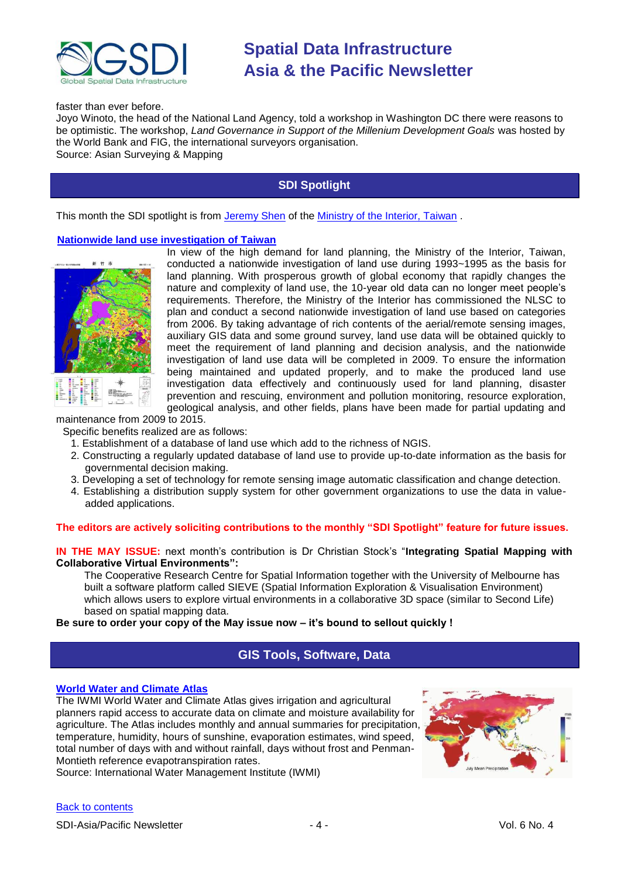![](_page_3_Picture_0.jpeg)

faster than ever before.

Joyo Winoto, the head of the National Land Agency, told a workshop in Washington DC there were reasons to be optimistic. The workshop, *Land Governance in Support of the Millenium Development Goals* was hosted by the World Bank and FIG, the international surveyors organisation. Source: Asian Surveying & Mapping

**SDI Spotlight** 

<span id="page-3-0"></span>This month the SDI spotlight is from [Jeremy Shen](mailto:moi0795@moi.gov.tw) of the [Ministry of the Interior, Taiwan](http://www.moi.gov.tw/english/index.aspx) .

#### **[Nationwide land use investigation of Taiwan](http://lui.nlsc.gov.tw/LUWeb/AboutLU/AboutLU.aspx)**

![](_page_3_Picture_7.jpeg)

In view of the high demand for land planning, the Ministry of the Interior, Taiwan, conducted a nationwide investigation of land use during 1993~1995 as the basis for land planning. With prosperous growth of global economy that rapidly changes the nature and complexity of land use, the 10-year old data can no longer meet people's requirements. Therefore, the Ministry of the Interior has commissioned the NLSC to plan and conduct a second nationwide investigation of land use based on categories from 2006. By taking advantage of rich contents of the aerial/remote sensing images, auxiliary GIS data and some ground survey, land use data will be obtained quickly to meet the requirement of land planning and decision analysis, and the nationwide investigation of land use data will be completed in 2009. To ensure the information being maintained and updated properly, and to make the produced land use investigation data effectively and continuously used for land planning, disaster prevention and rescuing, environment and pollution monitoring, resource exploration, geological analysis, and other fields, plans have been made for partial updating and

maintenance from 2009 to 2015.

Specific benefits realized are as follows:

- 1. Establishment of a database of land use which add to the richness of NGIS.
- 2. Constructing a regularly updated database of land use to provide up-to-date information as the basis for governmental decision making.
- 3. Developing a set of technology for remote sensing image automatic classification and change detection.
- 4. Establishing a distribution supply system for other government organizations to use the data in valueadded applications.

#### The editors are actively soliciting contributions to the monthly "SDI Spotlight" feature for future issues.

**IN THE MAY ISSUE:** next month's contribution is Dr Christian Stock's "Integrating Spatial Mapping with **Collaborative Virtual Environments":** 

The Cooperative Research Centre for Spatial Information together with the University of Melbourne has built a software platform called SIEVE (Spatial Information Exploration & Visualisation Environment) which allows users to explore virtual environments in a collaborative 3D space (similar to Second Life) based on spatial mapping data.

#### <span id="page-3-1"></span>**Be sure to order your copy of the May issue now – it's bound to sellout quickly !**

### **GIS Tools, Software, Data**

#### **[World Water and Climate Atlas](http://www.iwmi.cgiar.org/WAtlas/Default.aspx)**

The IWMI World Water and Climate Atlas gives irrigation and agricultural planners rapid access to accurate data on climate and moisture availability for agriculture. The Atlas includes monthly and annual summaries for precipitation, temperature, humidity, hours of sunshine, evaporation estimates, wind speed, total number of days with and without rainfall, days without frost and Penman-Montieth reference evapotranspiration rates.

Source: International Water Management Institute (IWMI)

![](_page_3_Picture_23.jpeg)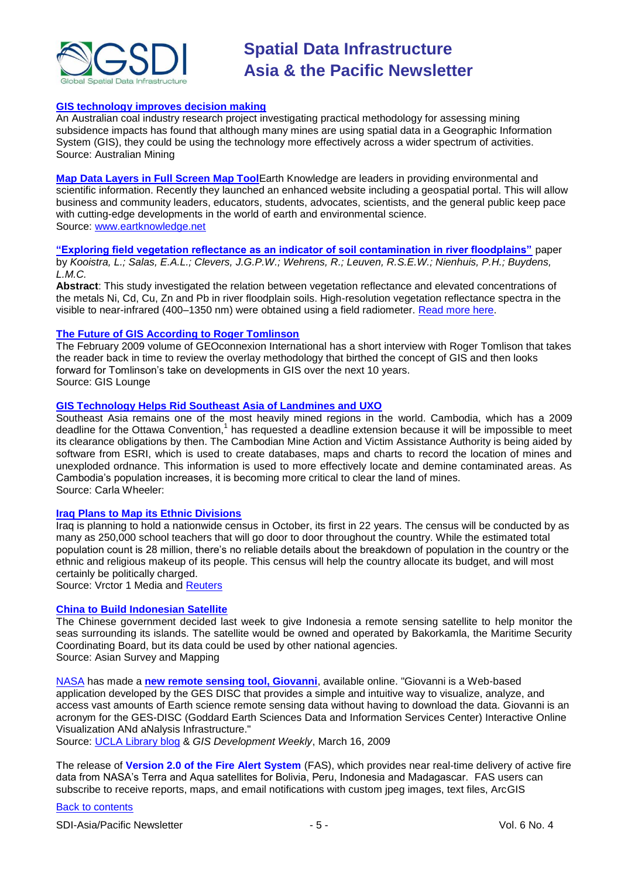![](_page_4_Picture_0.jpeg)

#### **[GIS technology improves decision making](http://www.miningaustralia.com.au/Article/GIS-technology-improves-decision-making/468786.aspx)**

An Australian coal industry research project investigating practical methodology for assessing mining subsidence impacts has found that although many mines are using spatial data in a Geographic Information System (GIS), they could be using the technology more effectively across a wider spectrum of activities. Source: Australian Mining

**[Map Data Layers in Full Screen Map Tool](http://www.earthknowledge.net/userguide/section6/subsection6/fullscreenmaptool/default.asp?item=2345854)**Earth Knowledge are leaders in providing environmental and scientific information. Recently they launched an enhanced website including a geospatial portal. This will allow business and community leaders, educators, students, advocates, scientists, and the general public keep pace with cutting-edge developments in the world of earth and environmental science. Source: [www.eartknowledge.net](http://www.eartknowledge.net/)

**[―Exploring field vegetation reflectance as an indicator of soil contamination in river floodplains‖](http://dx.doi.org/10.1016/S0269-7491%2803%2900266-5)** paper by *Kooistra, L.; Salas, E.A.L.; Clevers, J.G.P.W.; Wehrens, R.; Leuven, R.S.E.W.; Nienhuis, P.H.; Buydens, L.M.C.*

**Abstract**: This study investigated the relation between vegetation reflectance and elevated concentrations of the metals Ni, Cd, Cu, Zn and Pb in river floodplain soils. High-resolution vegetation reflectance spectra in the visible to near-infrared (400–1350 nm) were obtained using a field radiometer. [Read more here.](http://www.sciencedirect.com/science?_ob=ArticleURL&_udi=B6VB5-49DN700-4&_user=1531343&_rdoc=1&_fmt=&_orig=search&_sort=d&view=c&_acct=C000053569&_version=1&_urlVersion=0&_userid=1531343&md5=4111682608f3b27a4cfe0fc5d08e008c)

#### **[The Future of GIS According to Roger Tomlinson](http://gislounge.com/the-future-of-gis-according-to-roger-tomlinson/)**

The February 2009 volume of GEOconnexion International has a short interview with Roger Tomlison that takes the reader back in time to review the overlay methodology that birthed the concept of GIS and then looks forward for Tomlinson's take on developments in GIS over the next 10 years. Source: GIS Lounge

#### **[GIS Technology Helps Rid Southeast Asia of Landmines and UXO](http://maic.jmu.edu/Journal/12.2/notes/wheeler/wheeler.htm)**

Southeast Asia remains one of the most heavily mined regions in the world. Cambodia, which has a 2009 deadline for the Ottawa Convention,<sup>1</sup> has requested a deadline extension because it will be impossible to meet its clearance obligations by then. The Cambodian Mine Action and Victim Assistance Authority is being aided by software from ESRI, which is used to create databases, maps and charts to record the location of mines and unexploded ordnance. This information is used to more effectively locate and demine contaminated areas. As Cambodia's population increases, it is becoming more critical to clear the land of mines. Source: Carla Wheeler:

#### **[Iraq Plans to Map its Ethnic Divisions](http://vector1media.com/spatialsustain/iraq-plans-to-map-its-ethnic-divisions.html)**

Iraq is planning to hold a nationwide census in October, its first in 22 years. The census will be conducted by as many as 250,000 school teachers that will go door to door throughout the country. While the estimated total population count is 28 million, there's no reliable details about the breakdown of population in the country or the ethnic and religious makeup of its people. This census will help the country allocate its budget, and will most certainly be politically charged.

Source: Vrctor 1 Media and **Reuters** 

#### **[China to Build Indonesian Satellite](http://www.asmmag.com/news/china-to-build-indonesian-satellite)**

The Chinese government decided last week to give Indonesia a remote sensing satellite to help monitor the seas surrounding its islands. The satellite would be owned and operated by Bakorkamla, the Maritime Security Coordinating Board, but its data could be used by other national agencies. Source: Asian Survey and Mapping

[NASA](http://www.nasa.gov/) has made a **[new remote sensing tool, Giovanni](http://disc.sci.gsfc.nasa.gov/giovanni/index.html)**, available online. "Giovanni is a Web-based application developed by the GES DISC that provides a simple and intuitive way to visualize, analyze, and access vast amounts of Earth science remote sensing data without having to download the data. Giovanni is an acronym for the GES-DISC (Goddard Earth Sciences Data and Information Services Center) Interactive Online Visualization ANd aNalysis Infrastructure."

Source: [UCLA Library blog](http://blogs.lib.berkeley.edu/eart.php/2009/03/04/giovanni-remote-sensing-tool) & *GIS Development Weekly*, March 16, 2009

The release of **Version 2.0 of the Fire Alert System** (FAS), which provides near real-time delivery of active fire data from NASA's Terra and Aqua satellites for Bolivia, Peru, Indonesia and Madagascar. FAS users can subscribe to receive reports, maps, and email notifications with custom jpeg images, text files, ArcGIS

#### [Back to contents](#page-0-2)

SDI-Asia/Pacific Newsletter  $\sim$  5 - Section 1.5 - Vol. 6 No. 4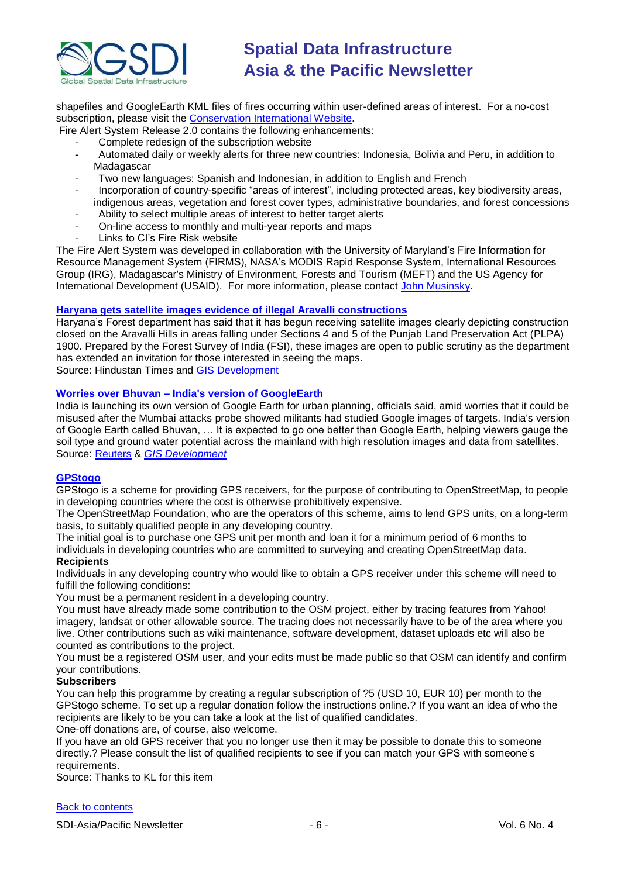![](_page_5_Picture_0.jpeg)

shapefiles and GoogleEarth KML files of fires occurring within user-defined areas of interest. For a no-cost subscription, please visit the [Conservation International](http://firealerts.conservation.org/) Website.

Fire Alert System Release 2.0 contains the following enhancements:

- Complete redesign of the subscription website
- Automated daily or weekly alerts for three new countries: Indonesia, Bolivia and Peru, in addition to Madagascar
- Two new languages: Spanish and Indonesian, in addition to English and French
- Incorporation of country-specific "areas of interest", including protected areas, key biodiversity areas, indigenous areas, vegetation and forest cover types, administrative boundaries, and forest concessions
- Ability to select multiple areas of interest to better target alerts<br>- On-line access to monthly and multi-year reports and mans
- On-line access to monthly and multi-year reports and maps
- Links to CI's Fire Risk website

The Fire Alert System was developed in collaboration with the University of Maryland's Fire Information for Resource Management System (FIRMS), NASA's MODIS Rapid Response System, International Resources Group (IRG), Madagascar's Ministry of Environment, Forests and Tourism (MEFT) and the US Agency for International Development (USAID). For more information, please contact [John Musinsky.](mailto:j.musinsky@conservation.org)

### **[Haryana gets satellite images evidence of illegal Aravalli constructions](http://tinyurl.com/aero3k)**

Haryana's Forest department has said that it has begun receiving satellite images clearly depicting construction closed on the Aravalli Hills in areas falling under Sections 4 and 5 of the Punjab Land Preservation Act (PLPA) 1900. Prepared by the Forest Survey of India (FSI), these images are open to public scrutiny as the department has extended an invitation for those interested in seeing the maps.

Source: Hindustan Times and [GIS Development](http://www.gisdevelopment.net/news/viewn.asp?id=GIS:N_wnesayvkcm&Ezine=mar0909§ion=News)

### **Worries over Bhuvan – India's version of GoogleEarth**

India is launching its own version of Google Earth for urban planning, officials said, amid worries that it could be misused after the Mumbai attacks probe showed militants had studied Google images of targets. India's version of Google Earth called Bhuvan, … It is expected to go one better than Google Earth, helping viewers gauge the soil type and ground water potential across the mainland with high resolution images and data from satellites. Source: [Reuters](http://in.reuters.com/article/domesticNews/idINDEL46429420090310) & *[GIS Development](http://www.gisdevelopment.net/news/viewn.asp?id=GIS:N_wmhincqtfs&Ezine=mar1609§ion=News)*

#### **[GPStogo](http://foundation.openstreetmap.org/gpstogo/)**

GPStogo is a scheme for providing GPS receivers, for the purpose of contributing to OpenStreetMap, to people in developing countries where the cost is otherwise prohibitively expensive.

The OpenStreetMap Foundation, who are the operators of this scheme, aims to lend GPS units, on a long-term basis, to suitably qualified people in any developing country.

The initial goal is to purchase one GPS unit per month and loan it for a minimum period of 6 months to individuals in developing countries who are committed to surveying and creating OpenStreetMap data. **Recipients**

Individuals in any developing country who would like to obtain a GPS receiver under this scheme will need to fulfill the following conditions:

You must be a permanent resident in a developing country.

You must have already made some contribution to the OSM project, either by tracing features from Yahoo! imagery, landsat or other allowable source. The tracing does not necessarily have to be of the area where you live. Other contributions such as wiki maintenance, software development, dataset uploads etc will also be counted as contributions to the project.

You must be a registered OSM user, and your edits must be made public so that OSM can identify and confirm your contributions.

#### **Subscribers**

You can help this programme by creating a regular subscription of ?5 (USD 10, EUR 10) per month to the GPStogo scheme. To set up a regular donation follow the instructions online.? If you want an idea of who the recipients are likely to be you can take a look at the list of qualified candidates.

One-off donations are, of course, also welcome.

If you have an old GPS receiver that you no longer use then it may be possible to donate this to someone directly.? Please consult the list of qualified recipients to see if you can match your GPS with someone's requirements.

Source: Thanks to KL for this item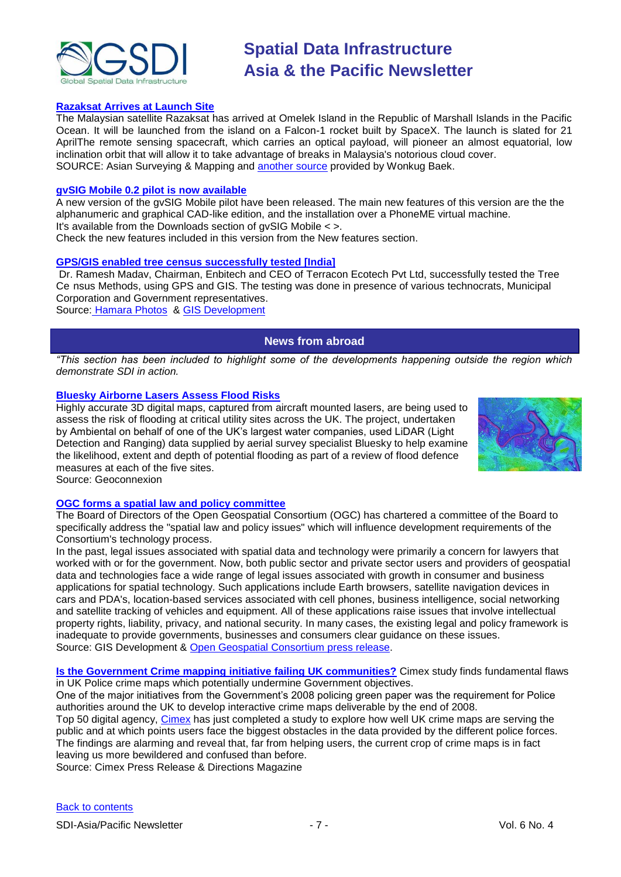![](_page_6_Picture_0.jpeg)

#### **[Razaksat Arrives at Launch Site](http://www.asmmag.com/news/razaksat-arrives-at-launch-site-)**

The Malaysian satellite Razaksat has arrived at Omelek Island in the Republic of Marshall Islands in the Pacific Ocean. It will be launched from the island on a Falcon-1 rocket built by SpaceX. The launch is slated for 21 AprilThe remote sensing spacecraft, which carries an optical payload, will pioneer an almost equatorial, low inclination orbit that will allow it to take advantage of breaks in Malaysia's notorious cloud cover. SOURCE: Asian Surveying & Mapping and [another source](http://www.mosti.gov.my/mosti/index.php?option=com_content&task=view&id=1109&Itemid=1) provided by Wonkug Baek.

#### **[gvSIG Mobile 0.2 pilot is now available](http://www.gvsig.gva.es/index.php?id=2125&L=2)**

A new version of the gvSIG Mobile pilot have been released. The main new features of this version are the the alphanumeric and graphical CAD-like edition, and the installation over a PhoneME virtual machine. It's available from the Downloads section of gvSIG Mobile < >.

Check the new features included in this version from the New features section.

#### **[GPS/GIS enabled tree census](http://tinyurl.com/chgyx8) successfully tested [India]**

Dr. Ramesh Madav, Chairman, Enbitech and CEO of Terracon Ecotech Pvt Ltd, successfully tested the Tree Ce nsus Methods, using GPS and GIS. The testing was done in presence of various technocrats, Municipal Corporation and Government representatives.

<span id="page-6-0"></span>Source: [Hamara Photos](http://hamaraphotos.com/) & [GIS Development](http://www.gisdevelopment.net/news/viewn.asp?id=GIS:N_lvfykxgtju&Ezine=mar3009§ion=News)

### **News from abroad**

*"This section has been included to highlight some of the developments happening outside the region which demonstrate SDI in action.*

#### **[Bluesky Airborne Lasers Assess Flood Risks](http://www.geoconnexion.com/geo_news_article/Bluesky-Airborne-Lasers-Assess-Flood-Risks-/5469)**

Highly accurate 3D digital maps, captured from aircraft mounted lasers, are being used to assess the risk of flooding at critical utility sites across the UK. The project, undertaken by Ambiental on behalf of one of the UK's largest water companies, used LiDAR (Light Detection and Ranging) data supplied by aerial survey specialist Bluesky to help examine the likelihood, extent and depth of potential flooding as part of a review of flood defence measures at each of the five sites.

![](_page_6_Figure_14.jpeg)

Source: Geoconnexion

#### **[OGC forms a spatial law and policy committee](http://www.gisdevelopment.net/news/viewn.asp?id=GIS:N_oedzagqnic&Ezine=mar0209§ion=News)**

The Board of Directors of the Open Geospatial Consortium (OGC) has chartered a committee of the Board to specifically address the "spatial law and policy issues" which will influence development requirements of the Consortium's technology process.

In the past, legal issues associated with spatial data and technology were primarily a concern for lawyers that worked with or for the government. Now, both public sector and private sector users and providers of geospatial data and technologies face a wide range of legal issues associated with growth in consumer and business applications for spatial technology. Such applications include Earth browsers, satellite navigation devices in cars and PDA's, location-based services associated with cell phones, business intelligence, social networking and satellite tracking of vehicles and equipment. All of these applications raise issues that involve intellectual property rights, liability, privacy, and national security. In many cases, the existing legal and policy framework is inadequate to provide governments, businesses and consumers clear guidance on these issues. Source: GIS Development & [Open Geospatial Consortium press release.](http://www.opengeospatial.org/pressroom/pressreleases/964)

**[Is the Government Crime mapping initiative failing UK communities?](http://www.directionsmag.com/press.releases/?duty=Show&id=29420)** Cimex study finds fundamental flaws in UK Police crime maps which potentially undermine Government objectives.

One of the major initiatives from the Government's 2008 policing green paper was the requirement for Police authorities around the UK to develop interactive crime maps deliverable by the end of 2008.

Top 50 digital agency, [Cimex](http://www.cimex.com/) has just completed a study to explore how well UK crime maps are serving the public and at which points users face the biggest obstacles in the data provided by the different police forces. The findings are alarming and reveal that, far from helping users, the current crop of crime maps is in fact leaving us more bewildered and confused than before.

Source: Cimex Press Release & Directions Magazine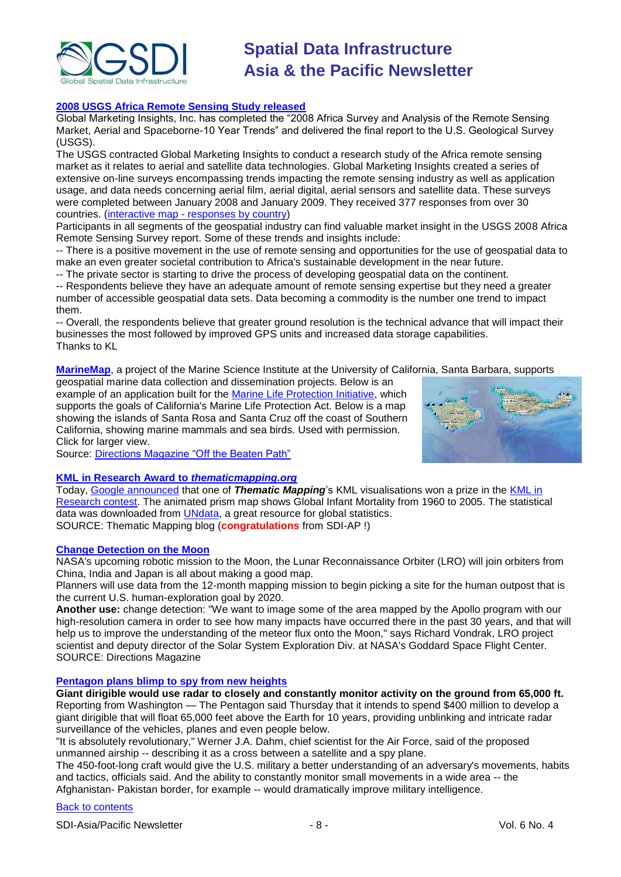![](_page_7_Picture_0.jpeg)

#### **[2008 USGS Africa Remote Sensing Study released](http://www.globalinsights.com/USGS2008AfricaRSS.pdf)**

Global Marketing Insights, Inc. has completed the "2008 Africa Survey and Analysis of the Remote Sensing Market, Aerial and Spaceborne-10 Year Trends" and delivered the final report to the U.S. Geological Survey (USGS).

The USGS contracted Global Marketing Insights to conduct a research study of the Africa remote sensing market as it relates to aerial and satellite data technologies. Global Marketing Insights created a series of extensive on-line surveys encompassing trends impacting the remote sensing industry as well as application usage, and data needs concerning aerial film, aerial digital, aerial sensors and satellite data. These surveys were completed between January 2008 and January 2009. They received 377 responses from over 30 countries. (interactive map - [responses by country\)](http://www.globalinsights.com/USGSIMap/results.htm)

Participants in all segments of the geospatial industry can find valuable market insight in the USGS 2008 Africa Remote Sensing Survey report. Some of these trends and insights include:

-- There is a positive movement in the use of remote sensing and opportunities for the use of geospatial data to make an even greater societal contribution to Africa's sustainable development in the near future.

-- The private sector is starting to drive the process of developing geospatial data on the continent.

-- Respondents believe they have an adequate amount of remote sensing expertise but they need a greater number of accessible geospatial data sets. Data becoming a commodity is the number one trend to impact them.

-- Overall, the respondents believe that greater ground resolution is the technical advance that will impact their businesses the most followed by improved GPS units and increased data storage capabilities. Thanks to KL

**[MarineMap](http://marinemap.org/index.html)**, a project of the Marine Science Institute at the University of California, Santa Barbara, supports

geospatial marine data collection and dissemination projects. Below is an example of an application built for the [Marine Life Protection Initiative,](http://marinemap.org/mlpa/) which supports the goals of California's Marine Life Protection Act. Below is a map showing the islands of Santa Rosa and Santa Cruz off the coast of Southern California, showing marine mammals and sea birds. Used with permission. Click for larger view.

![](_page_7_Picture_12.jpeg)

Source: Directions Magazine "Off the Beaten Path"

#### **[KML in Research Award to](http://blog.thematicmapping.org/2009/03/kml-in-research-award-to.html)** *thematicmapping.org*

Today, [Google announced](http://google-latlong.blogspot.com/2009/03/and-award-goes-to.html) that one of *Thematic Mapping*'s KML visualisations won a prize in the [KML in](http://www.google.com/educators/kml_contest.html)  [Research contest.](http://www.google.com/educators/kml_contest.html) The animated prism map shows Global Infant Mortality from 1960 to 2005. The statistical data was downloaded from [UNdata,](http://data.un.org/) a great resource for global statistics. SOURCE: Thematic Mapping blog (**congratulations** from SDI-AP !)

#### **[Change Detection on the Moon](http://apb.directionsmag.com/archives/5505-Change-Detection-on-the-Moon.html)**

NASA's upcoming robotic mission to the Moon, the Lunar Reconnaissance Orbiter (LRO) will join orbiters from China, India and Japan is all about making a good map.

Planners will use data from the 12-month mapping mission to begin picking a site for the human outpost that is the current U.S. human-exploration goal by 2020.

**Another use:** change detection: "We want to image some of the area mapped by the Apollo program with our high-resolution camera in order to see how many impacts have occurred there in the past 30 years, and that will help us to improve the understanding of the meteor flux onto the Moon," says Richard Vondrak, LRO project scientist and deputy director of the Solar System Exploration Div. at NASA's Goddard Space Flight Center. SOURCE: Directions Magazine

#### **[Pentagon plans blimp to spy from new heights](http://www.latimes.com/news/nationworld/nation/la-na-spyblimp13-2009mar13,0,4608400.story)**

**Giant dirigible would use radar to closely and constantly monitor activity on the ground from 65,000 ft.** Reporting from Washington — The Pentagon said Thursday that it intends to spend \$400 million to develop a giant dirigible that will float 65,000 feet above the Earth for 10 years, providing unblinking and intricate radar surveillance of the vehicles, planes and even people below.

"It is absolutely revolutionary," Werner J.A. Dahm, chief scientist for the Air Force, said of the proposed unmanned airship -- describing it as a cross between a satellite and a spy plane.

The 450-foot-long craft would give the U.S. military a better understanding of an adversary's movements, habits and tactics, officials said. And the ability to constantly monitor small movements in a wide area -- the Afghanistan- Pakistan border, for example -- would dramatically improve military intelligence.

#### [Back to contents](#page-0-2)

SDI-Asia/Pacific Newsletter  $\overline{8}$  - 8 -  $\overline{8}$  -  $\overline{8}$  -  $\overline{8}$  -  $\overline{8}$  Vol. 6 No. 4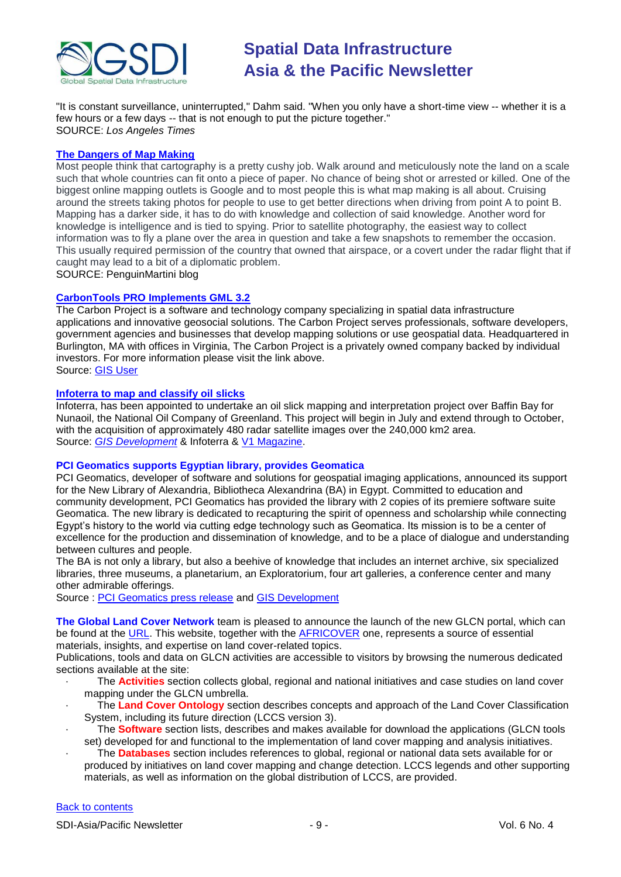![](_page_8_Picture_0.jpeg)

"It is constant surveillance, uninterrupted," Dahm said. "When you only have a short-time view -- whether it is a few hours or a few days -- that is not enough to put the picture together." SOURCE: *Los Angeles Times*

#### **[The Dangers of Map Making](http://penguinmartini.wordpress.com/2009/03/08/the-dangers-of-map-making/)**

Most people think that cartography is a pretty cushy job. Walk around and meticulously note the land on a scale such that whole countries can fit onto a piece of paper. No chance of being shot or arrested or killed. One of the biggest online mapping outlets is Google and to most people this is what map making is all about. Cruising around the streets taking photos for people to use to get better directions when driving from point A to point B. Mapping has a darker side, it has to do with knowledge and collection of said knowledge. Another word for knowledge is intelligence and is tied to spying. Prior to satellite photography, the easiest way to collect information was to fly a plane over the area in question and take a few snapshots to remember the occasion. This usually required permission of the country that owned that airspace, or a covert under the radar flight that if caught may lead to a bit of a diplomatic problem.

SOURCE: PenguinMartini blog

#### **[CarbonTools PRO Implements GML 3.2](http://www.thecarbonproject.com/)**

The Carbon Project is a software and technology company specializing in spatial data infrastructure applications and innovative geosocial solutions. The Carbon Project serves professionals, software developers, government agencies and businesses that develop mapping solutions or use geospatial data. Headquartered in Burlington, MA with offices in Virginia, The Carbon Project is a privately owned company backed by individual investors. For more information please visit the link above. Source: [GIS User](http://www.gisuser.com/content/view/17032/2/)

#### **[Infoterra to map and classify oil slicks](http://www.infoterra.co.uk/applications_ogm_globalseeps.php)**

Infoterra, has been appointed to undertake an oil slick mapping and interpretation project over Baffin Bay for Nunaoil, the National Oil Company of Greenland. This project will begin in July and extend through to October, with the acquisition of approximately 480 radar satellite images over the 240,000 km2 area. Source: *[GIS Development](http://www.gisdevelopment.net/news/viewn.asp?id=GIS:N_ewkjfpdtub)* & Infoterra & [V1 Magazine.](http://www.vector1media.com/top-stories/corporate-news/infoterra-to-map-and-classify-oil-slicks-over-baffin-bay-greenland/)

#### **PCI Geomatics supports Egyptian library, provides Geomatica**

PCI Geomatics, developer of software and solutions for geospatial imaging applications, announced its support for the New Library of Alexandria, Bibliotheca Alexandrina (BA) in Egypt. Committed to education and community development, PCI Geomatics has provided the library with 2 copies of its premiere software suite Geomatica. The new library is dedicated to recapturing the spirit of openness and scholarship while connecting Egypt's history to the world via cutting edge technology such as Geomatica. Its mission is to be a center of excellence for the production and dissemination of knowledge, and to be a place of dialogue and understanding between cultures and people.

The BA is not only a library, but also a beehive of knowledge that includes an internet archive, six specialized libraries, three museums, a planetarium, an Exploratorium, four art galleries, a conference center and many other admirable offerings.

Source : [PCI Geomatics press release](http://www.pci.on.ca/pressnews/2008_PCI_alexandria.html) and [GIS Development](http://www.gisdevelopment.net/news/viewn.asp?id=GIS:N_cpqmxovywr)

**The Global Land Cover Network** team is pleased to announce the launch of the new GLCN portal, which can be found at the [URL.](http://www.glcn.org/) This website, together with the [AFRICOVER](http://www.africover.org/) one, represents a source of essential materials, insights, and expertise on land cover-related topics.

Publications, tools and data on GLCN activities are accessible to visitors by browsing the numerous dedicated sections available at the site:

- · The **Activities** section collects global, regional and national initiatives and case studies on land cover mapping under the GLCN umbrella.
- · The **Land Cover Ontology** section describes concepts and approach of the Land Cover Classification System, including its future direction (LCCS version 3).
- The **Software** section lists, describes and makes available for download the applications (GLCN tools set) developed for and functional to the implementation of land cover mapping and analysis initiatives.
- The **Databases** section includes references to global, regional or national data sets available for or produced by initiatives on land cover mapping and change detection. LCCS legends and other supporting materials, as well as information on the global distribution of LCCS, are provided.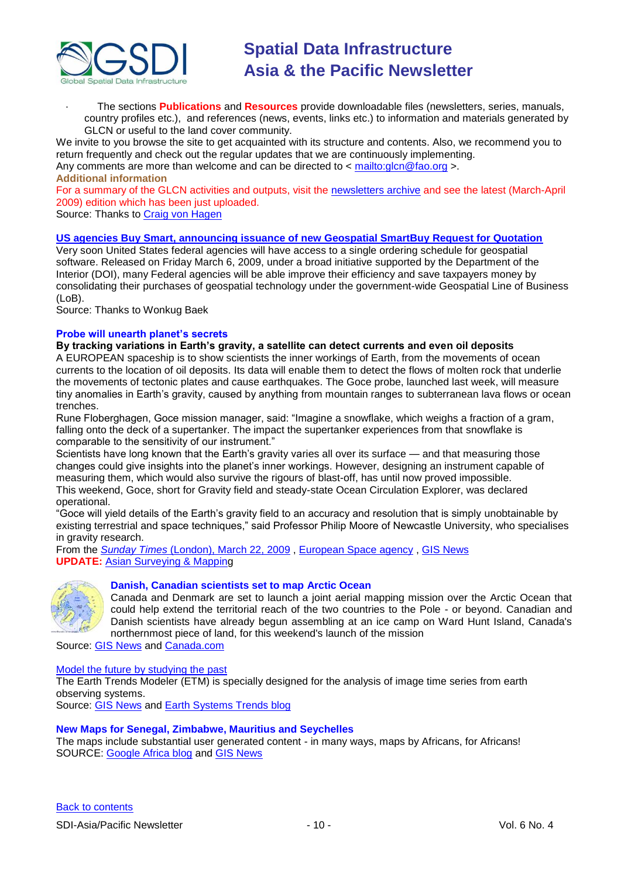![](_page_9_Picture_0.jpeg)

· The sections **Publications** and **Resources** provide downloadable files (newsletters, series, manuals, country profiles etc.), and references (news, events, links etc.) to information and materials generated by GLCN or useful to the land cover community.

We invite to you browse the site to get acquainted with its structure and contents. Also, we recommend you to return frequently and check out the regular updates that we are continuously implementing.

Any comments are more than welcome and can be directed to  $\lt$ <mailto:glcn@fao.org>  $\gt$ . **Additional information**

For a summary of the GLCN activities and outputs, visit the [newsletters archive](http://www.glcn.org/news/) and see the latest (March-April 2009) edition which has been just uploaded.

Source: Thanks to [Craig von Hagen](mailto:craigvonhagen@yahoo.co.uk)

#### **[US agencies Buy Smart, announcing issuance of new Geospatial SmartBuy Request for Quotation](http://www.fgdc.gov/fgdc-news/smartbuy-rfq-announcement)**

Very soon United States federal agencies will have access to a single ordering schedule for geospatial software. Released on Friday March 6, 2009, under a broad initiative supported by the Department of the Interior (DOI), many Federal agencies will be able improve their efficiency and save taxpayers money by consolidating their purchases of geospatial technology under the government-wide Geospatial Line of Business (LoB).

Source: Thanks to Wonkug Baek

#### **Probe will unearth planet's secrets**

**By tracking variations in Earth's gravity, a satellite can detect currents and even oil deposits** A EUROPEAN spaceship is to show scientists the inner workings of Earth, from the movements of ocean currents to the location of oil deposits. Its data will enable them to detect the flows of molten rock that underlie the movements of tectonic plates and cause earthquakes. The Goce probe, launched last week, will measure tiny anomalies in Earth's gravity, caused by anything from mountain ranges to subterranean lava flows or ocean trenches.

Rune Floberghagen, Goce mission manager, said: "Imagine a snowflake, which weighs a fraction of a gram, falling onto the deck of a supertanker. The impact the supertanker experiences from that snowflake is comparable to the sensitivity of our instrument."

Scientists have long known that the Earth's gravity varies all over its surface — and that measuring those changes could give insights into the planet's inner workings. However, designing an instrument capable of measuring them, which would also survive the rigours of blast-off, has until now proved impossible. This weekend, Goce, short for Gravity field and steady-state Ocean Circulation Explorer, was declared operational.

―Goce will yield details of the Earth's gravity field to an accuracy and resolution that is simply unobtainable by existing terrestrial and space techniques," said Professor Philip Moore of Newcastle University, who specialises in gravity research.

From the *Sunday Times* [\(London\), March 22, 2009](http://www.timesonline.co.uk/tol/news/world/europe/article5950372.ece) , [European Space agency](http://www.esa.int/esaCP/SEMH3NITYRF_UnitedKingdom_0.html) , [GIS News](http://www.gisdevelopment.net/news/viewn.asp?id=GIS:N_bzofsghauy&Ezine=mar2309§ion=News) **UPDATE:** [Asian Surveying & Mapping](http://www.asmmag.com/news/goce-satellite-begins-work)

![](_page_9_Picture_16.jpeg)

#### **Danish, Canadian scientists set to map Arctic Ocean**

Canada and Denmark are set to launch a joint aerial mapping mission over the Arctic Ocean that could help extend the territorial reach of the two countries to the Pole - or beyond. Canadian and Danish scientists have already begun assembling at an ice camp on Ward Hunt Island, Canada's northernmost piece of land, for this weekend's launch of the mission

Source: [GIS News](http://www.gisdevelopment.net/news/viewn.asp?id=GIS:N_wdnirguvpl&Ezine=mar2309§ion=News) and [Canada.com](http://www.canada.com/Danish+Canadian+scientists+Arctic+Ocean/1398916/story.html)

#### [Model the future by studying the past](http://www.earthsystemtrends.org/)

The Earth Trends Modeler (ETM) is specially designed for the analysis of image time series from earth observing systems.

Source: [GIS News](http://www.gisdevelopment.net/ezine/weekly/mar2309.htm) and [Earth Systems Trends blog](http://www.earthsystemtrends.org/)

#### **New Maps for Senegal, Zimbabwe, Mauritius and Seychelles**

The maps include substantial user generated content - in many ways, maps by Africans, for Africans! SOURCE: [Google Africa blog](http://google-africa.blogspot.com/2009/03/new-maps-for-senegal-zimbabwe-mauritius.html) and [GIS News](http://www.gisdevelopment.net/ezine/weekly/mar2309.htm)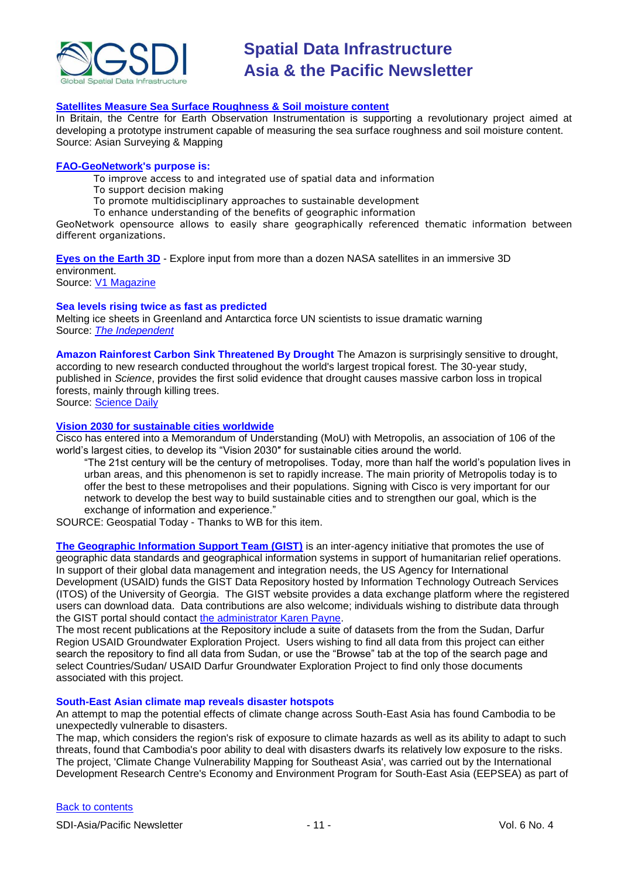![](_page_10_Picture_0.jpeg)

#### **[Satellites Measure Sea Surface Roughness & Soil moisture content](http://www.asmmag.com/news/satellites-measure-sea-surface-roughness)**

In Britain, the Centre for Earth Observation Instrumentation is supporting a revolutionary project aimed at developing a prototype instrument capable of measuring the sea surface roughness and soil moisture content. Source: Asian Surveying & Mapping

#### **[FAO-GeoNetwork'](http://www.fao.org/geonetwork/srv/en/main.home)s purpose is:**

To improve access to and integrated use of spatial data and information

- To support decision making
- To promote multidisciplinary approaches to sustainable development
- To enhance understanding of the benefits of geographic information

GeoNetwork opensource allows to easily share geographically referenced thematic information between different organizations.

**[Eyes on the Earth 3D](http://climate.jpl.nasa.gov/Eyes/eyes.html)** - Explore input from more than a dozen NASA satellites in an immersive 3D environment.

Source: [V1 Magazine](http://www.vector1media.com/newsletter/archive/v1-newsletter%11vol.-3,-issue-11/)

#### **Sea levels rising twice as fast as predicted**

Melting ice sheets in Greenland and Antarctica force UN scientists to issue dramatic warning Source: *[The Independent](http://www.independent.co.uk/environment/climate-change/sea-levels-rising-twice-as-fast-as-predicted-1642087.html)*

**Amazon Rainforest Carbon Sink Threatened By Drought** The Amazon is surprisingly sensitive to drought, according to new research conducted throughout the world's largest tropical forest. The 30-year study, published in *Science*, provides the first solid evidence that drought causes massive carbon loss in tropical forests, mainly through killing trees.

Source: [Science Daily](http://www.sciencedaily.com/news/earth_climate/air_quality/)

#### **[Vision 2030 for sustainable cities worldwide](http://www.geospatialtoday.com/news_march13.htm)**

Cisco has entered into a Memorandum of Understanding (MoU) with Metropolis, an association of 106 of the world's largest cities, to develop its "Vision 2030" for sustainable cities around the world.

―The 21st century will be the century of metropolises. Today, more than half the world's population lives in urban areas, and this phenomenon is set to rapidly increase. The main priority of Metropolis today is to offer the best to these metropolises and their populations. Signing with Cisco is very important for our network to develop the best way to build sustainable cities and to strengthen our goal, which is the exchange of information and experience."

SOURCE: Geospatial Today - Thanks to WB for this item.

**[The Geographic Information Support Team \(GIST\)](https://gist.itos.uga.edu/)** is an inter-agency initiative that promotes the use of geographic data standards and geographical information systems in support of humanitarian relief operations. In support of their global data management and integration needs, the US Agency for International Development (USAID) funds the GIST Data Repository hosted by Information Technology Outreach Services (ITOS) of the University of Georgia. The GIST website provides a data exchange platform where the registered users can download data. Data contributions are also welcome; individuals wishing to distribute data through the GIST portal should contact [the administrator Karen Payne.](mailto:kpayne@itos.uga.edu)

The most recent publications at the Repository include a suite of datasets from the from the Sudan, Darfur Region USAID Groundwater Exploration Project. Users wishing to find all data from this project can either search the repository to find all data from Sudan, or use the "Browse" tab at the top of the search page and select Countries/Sudan/ USAID Darfur Groundwater Exploration Project to find only those documents associated with this project.

#### **South-East Asian climate map reveals disaster hotspots**

An attempt to map the potential effects of climate change across South-East Asia has found Cambodia to be unexpectedly vulnerable to disasters.

The map, which considers the region's risk of exposure to climate hazards as well as its ability to adapt to such threats, found that Cambodia's poor ability to deal with disasters dwarfs its relatively low exposure to the risks. The project, 'Climate Change Vulnerability Mapping for Southeast Asia', was carried out by the International Development Research Centre's Economy and Environment Program for South-East Asia (EEPSEA) as part of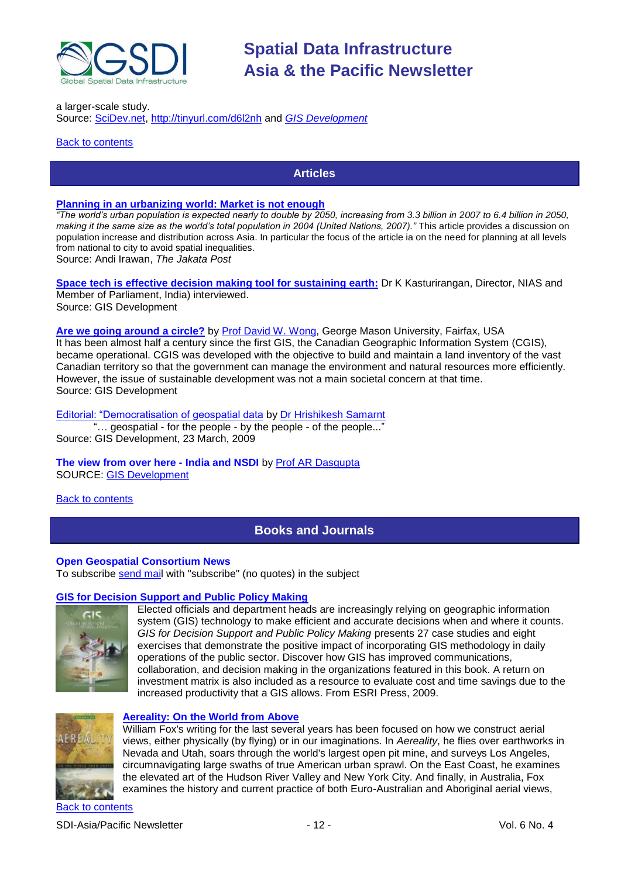![](_page_11_Picture_0.jpeg)

a larger-scale study.

Source: [SciDev.net,](http://www.scidev.net/)<http://tinyurl.com/d6l2nh> and *[GIS Development](http://www.gisdevelopment.net/news/viewn.asp?id=GIS:N_satzncdwfu&Ezine=mar1609§ion=News)*

<span id="page-11-0"></span>**[Back to contents](#page-0-3)** 

#### **Articles**

#### **[Planning in an urbanizing world: Market is not enough](http://www.thejakartapost.com/news/2009/03/27/planning-urbanizing-world-market-not-enough.html)**

*"The world's urban population is expected nearly to double by 2050, increasing from 3.3 billion in 2007 to 6.4 billion in 2050, making it the same size as the world's total population in 2004 (United Nations, 2007)."* This article provides a discussion on population increase and distribution across Asia. In particular the focus of the article ia on the need for planning at all levels from national to city to avoid spatial inequalities.

Source: Andi Irawan, *The Jakata Post*

**[Space tech is effective decision making tool for sustaining earth:](http://gisdevelopment.net/magazine/global/2009/february/46.htm)** Dr K Kasturirangan, Director, NIAS and Member of Parliament, India) interviewed. Source: GIS Development

**[Are we going around a circle?](http://gisdevelopment.net/magazine/global/2009/february/48.htm)** by [Prof David W. Wong,](mailto:dwong2@gmu.edu) George Mason University, Fairfax, USA It has been almost half a century since the first GIS, the Canadian Geographic Information System (CGIS), became operational. CGIS was developed with the objective to build and maintain a land inventory of the vast Canadian territory so that the government can manage the environment and natural resources more efficiently. However, the issue of sustainable development was not a main societal concern at that time. Source: GIS Development

Editorial: "Democratisation of geospatial data by [Dr Hrishikesh Samarnt](mailto:hrishikesh@gisdevelopment.net)

"... geospatial - for the people - by the people - of the people..." Source: GIS Development, 23 March, 2009

**The view from over here - India and NSDI** by [Prof AR Dasgupta](mailto:arup.dasgupta@GISdevelopment.net)  SOURCE: [GIS Development](http://gisdevelopment.net/magazine/global/2009/march/49.htm)

<span id="page-11-1"></span>[Back to contents](#page-0-3)

### **Books and Journals**

#### **Open Geospatial Consortium News**

To subscribe [send mail](mailto:emailto:newsletter-request@lists.opengeospatial.org) with "subscribe" (no quotes) in the subject

#### **[GIS for Decision Support and Public Policy Making](http://www.amazon.com/exec/obidos/ASIN/158948231X/directionsm00-20)**

![](_page_11_Picture_19.jpeg)

Elected officials and department heads are increasingly relying on geographic information system (GIS) technology to make efficient and accurate decisions when and where it counts. *GIS for Decision Support and Public Policy Making* presents 27 case studies and eight exercises that demonstrate the positive impact of incorporating GIS methodology in daily operations of the public sector. Discover how GIS has improved communications, collaboration, and decision making in the organizations featured in this book. A return on investment matrix is also included as a resource to evaluate cost and time savings due to the increased productivity that a GIS allows. From ESRI Press, 2009.

![](_page_11_Picture_21.jpeg)

#### **[Aereality: On the World from Above](http://www.amazon.com/exec/obidos/ASIN/1582434298/directionsm00-20)**

William Fox's writing for the last several years has been focused on how we construct aerial views, either physically (by flying) or in our imaginations. In *Aereality*, he flies over earthworks in Nevada and Utah, soars through the world's largest open pit mine, and surveys Los Angeles, circumnavigating large swaths of true American urban sprawl. On the East Coast, he examines the elevated art of the Hudson River Valley and New York City. And finally, in Australia, Fox examines the history and current practice of both Euro-Australian and Aboriginal aerial views,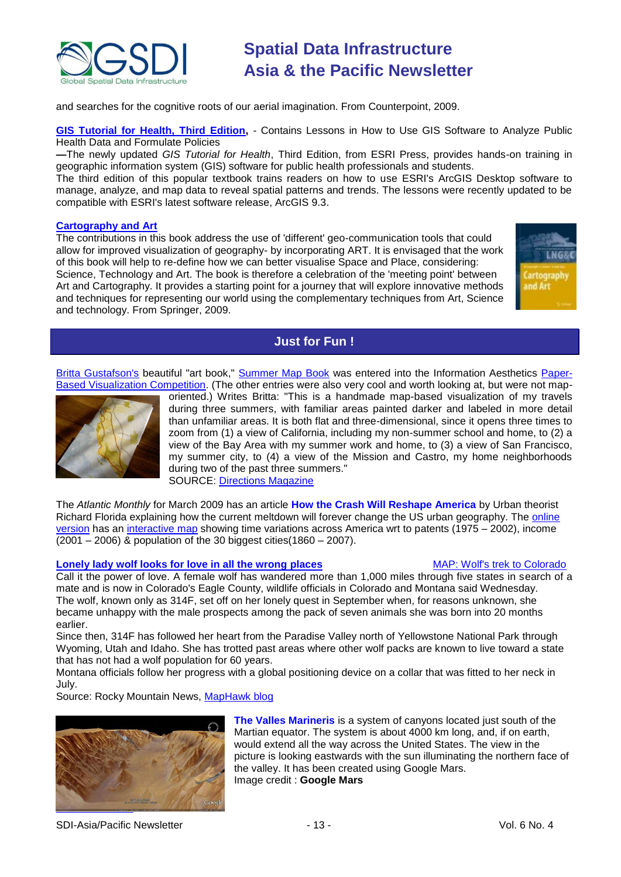![](_page_12_Picture_0.jpeg)

and searches for the cognitive roots of our aerial imagination. From Counterpoint, 2009.

**[GIS Tutorial for Health, Third Edition,](http://www.esri.com/esripress)** - Contains Lessons in How to Use GIS Software to Analyze Public Health Data and Formulate Policies

**—**The newly updated *GIS Tutorial for Health*, Third Edition, from ESRI Press, provides hands-on training in geographic information system (GIS) software for public health professionals and students.

The third edition of this popular textbook trains readers on how to use ESRI's ArcGIS Desktop software to manage, analyze, and map data to reveal spatial patterns and trends. The lessons were recently updated to be compatible with ESRI's latest software release, ArcGIS 9.3.

#### **[Cartography and Art](http://www.amazon.com/exec/obidos/ASIN/3540685677/directionsm00-20)**

The contributions in this book address the use of 'different' geo-communication tools that could allow for improved visualization of geography- by incorporating ART. It is envisaged that the work of this book will help to re-define how we can better visualise Space and Place, considering: Science, Technology and Art. The book is therefore a celebration of the 'meeting point' between Art and Cartography. It provides a starting point for a journey that will explore innovative methods and techniques for representing our world using the complementary techniques from Art, Science and technology. From Springer, 2009.

![](_page_12_Picture_8.jpeg)

### **Just for Fun !**

<span id="page-12-0"></span>[Britta Gustafson's](http://jeweledplatypus.org/cgi-bin/blosxom.cgi/me/) beautiful "art book," [Summer Map Book](http://jeweledplatypus.org/cgi-bin/blosxom.cgi/text/summermapbook.html) was entered into the Information Aesthetics [Paper-](http://newsletter.directionsmag.com/link.php?M=145624&N=1364&L=24326)[Based Visualization Competition.](http://newsletter.directionsmag.com/link.php?M=145624&N=1364&L=24326) (The other entries were also very cool and worth looking at, but were not map-

![](_page_12_Picture_11.jpeg)

oriented.) Writes Britta: "This is a handmade map-based visualization of my travels during three summers, with familiar areas painted darker and labeled in more detail than unfamiliar areas. It is both flat and three-dimensional, since it opens three times to zoom from (1) a view of California, including my non-summer school and home, to (2) a view of the Bay Area with my summer work and home, to (3) a view of San Francisco, my summer city, to (4) a view of the Mission and Castro, my home neighborhoods during two of the past three summers." SOURCE: [Directions Magazine](http://www.directionsmedia.net/newsletters.archive/index.php?ID=1334)

The *Atlantic Monthly* for March 2009 has an article **[How the Crash Will Reshape America](http://www.theatlantic.com/doc/200903/meltdown-geography)** by Urban theorist Richard Florida explaining how the current meltdown will forever change the US urban geography. The [online](http://www.theatlantic.com/doc/200903/meltdown-geography)  [version](http://www.theatlantic.com/doc/200903/meltdown-geography) has an [interactive map](http://www.theatlantic.com/floridamap/) showing time variations across America wrt to patents (1975 – 2002), income (2001 – 2006) & population of the 30 biggest cities(1860 – 2007).

#### **[Lonely lady wolf looks for love in all the wrong](http://www.rockymountainnews.com/news/2009/feb/25/yellowstone-wolf-travels-1000-miles-colorado/) places** MAP: [Wolf's trek to Colorado](http://media.rockymountainnews.com/drmn/content/static/wolf.pdf)

Call it the power of love. A female wolf has wandered more than 1,000 miles through five states in search of a mate and is now in Colorado's Eagle County, wildlife officials in Colorado and Montana said Wednesday. The wolf, known only as 314F, set off on her lonely quest in September when, for reasons unknown, she became unhappy with the male prospects among the pack of seven animals she was born into 20 months earlier.

Since then, 314F has followed her heart from the Paradise Valley north of Yellowstone National Park through Wyoming, Utah and Idaho. She has trotted past areas where other wolf packs are known to live toward a state that has not had a wolf population for 60 years.

Montana officials follow her progress with a global positioning device on a collar that was fitted to her neck in July.

Source: Rocky Mountain News, [MapHawk blog](http://maphawk.blogspot.com/)

![](_page_12_Picture_20.jpeg)

**The Valles Marineris** is a system of canyons located just south of the Martian equator. The system is about 4000 km long, and, if on earth, would extend all the way across the United States. The view in the picture is looking eastwards with the sun illuminating the northern face of the valley. It has been created using Google Mars. Image credit : **Google Mars**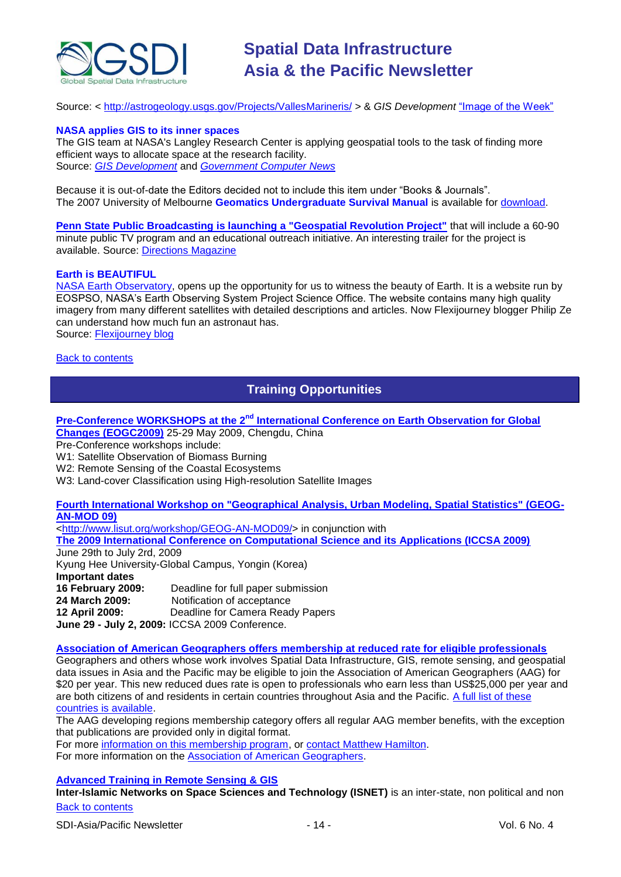![](_page_13_Picture_0.jpeg)

Source: < <http://astrogeology.usgs.gov/Projects/VallesMarineris/> > & *GIS Development* "Image of the Week"

#### **NASA applies GIS to its inner spaces**

The GIS team at NASA's Langley Research Center is applying geospatial tools to the task of finding more efficient ways to allocate space at the research facility. Source: *[GIS Development](http://www.gisdevelopment.net/news/viewn.asp?id=GIS:N_zcrvygqxnm)* and *[Government Computer News](http://gcn.com/articles/2009/03/23/update-nasa-space-allocation.aspx)*

Because it is out-of-date the Editors decided not to include this item under "Books & Journals". The 2007 University of Melbourne **Geomatics Undergraduate Survival Manual** is available for [download.](http://www.geom.unimelb.edu.au/ugrad/manual.html)

**[Penn State Public Broadcasting is launching a "Geospatial Revolution Project"](http://geospatialrevolution.psu.edu/index.html)** that will include a 60-90 minute public TV program and an educational outreach initiative. An interesting trailer for the project is available. Source: [Directions Magazine](http://newsletter.directionsmag.com/link.php?M=145624&N=1434&L=24740)

#### **Earth is BEAUTIFUL**

[NASA Earth Observatory,](http://earthobservatory.nasa.gov/) opens up the opportunity for us to witness the beauty of Earth. It is a website run by EOSPSO, NASA's Earth Observing System Project Science Office. The website contains many high quality imagery from many different satellites with detailed descriptions and articles. Now Flexijourney blogger Philip Ze can understand how much fun an astronaut has.

Source: [Flexijourney blog](http://www.flexijourney.com/blog/earth-is-beautiful/)

#### <span id="page-13-0"></span>**[Back to contents](#page-0-3)**

### **Training Opportunities**

**Pre-Conference WORKSHOPS at the 2nd [International Conference on Earth Observation for Global](http://www.eogc2009.com.cn/)  [Changes \(EOGC2009\)](http://www.eogc2009.com.cn/)** 25-29 May 2009, Chengdu, China

Pre-Conference workshops include:

W1: Satellite Observation of Biomass Burning

W2: Remote Sensing of the Coastal Ecosystems

W3: Land-cover Classification using High-resolution Satellite Images

**[Fourth International Workshop on "Geographical Analysis, Urban Modeling, Spatial Statistics" \(GEOG-](http://www.iccsa.org/)[AN-MOD 09\)](http://www.iccsa.org/)**

[<http://www.lisut.org/workshop/GEOG-AN-MOD09/>](http://www.lisut.org/workshop/GEOG-AN-MOD09/) in conjunction with

**[The 2009 International Conference on Computational Science and its Applications \(ICCSA 2009\)](http://www.iccsa.org/)** June 29th to July 2rd, 2009

Kyung Hee University-Global Campus, Yongin (Korea) **Important dates 16 February 2009:** Deadline for full paper submission **24 March 2009:** Notification of acceptance **12 April 2009:** Deadline for Camera Ready Papers **June 29 - July 2, 2009:** ICCSA 2009 Conference.

**[Association of American Geographers offers membership at reduced rate for eligible professionals](http://www.aag.org/developing/index.htm)**

Geographers and others whose work involves Spatial Data Infrastructure, GIS, remote sensing, and geospatial data issues in Asia and the Pacific may be eligible to join the Association of American Geographers (AAG) for \$20 per year. This new reduced dues rate is open to professionals who earn less than US\$25,000 per year and are both citizens of and residents in certain countries throughout Asia and the Pacific. [A full list of these](http://www.aag.org/developing/eligibility.htm)  [countries is available.](http://www.aag.org/developing/eligibility.htm)

The AAG developing regions membership category offers all regular AAG member benefits, with the exception that publications are provided only in digital format.

For more [information on this membership program,](http://www.aag.org/developing/index.htm) or [contact Matthew Hamilton.](mailto:mhamilton@aag.org)

For more information on the [Association of American Geographers.](http://www.aag.org/)

**[Advanced Training in Remote Sensing & GIS](http://www.isnet.org.pk/course02-09.htm)**

[Back to contents](#page-0-2) **Inter-Islamic Networks on Space Sciences and Technology (ISNET)** is an inter-state, non political and non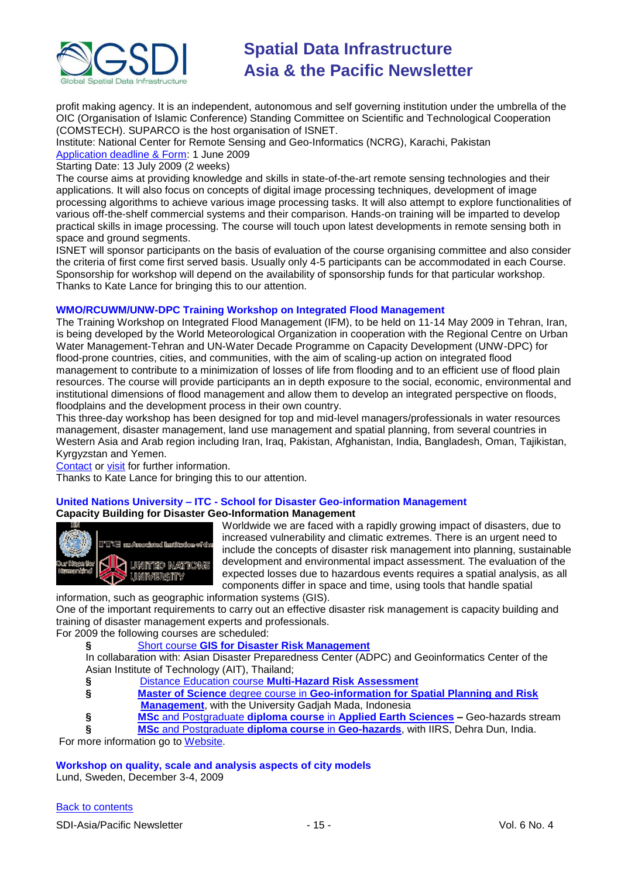![](_page_14_Picture_0.jpeg)

profit making agency. It is an independent, autonomous and self governing institution under the umbrella of the OIC (Organisation of Islamic Conference) Standing Committee on Scientific and Technological Cooperation (COMSTECH). SUPARCO is the host organisation of ISNET.

Institute: National Center for Remote Sensing and Geo-Informatics (NCRG), Karachi, Pakistan [Application deadline & Form:](http://www.isnet.org.pk/Downloadables/form-courses-08.doc) 1 June 2009

Starting Date: 13 July 2009 (2 weeks)

The course aims at providing knowledge and skills in state-of-the-art remote sensing technologies and their applications. It will also focus on concepts of digital image processing techniques, development of image processing algorithms to achieve various image processing tasks. It will also attempt to explore functionalities of various off-the-shelf commercial systems and their comparison. Hands-on training will be imparted to develop practical skills in image processing. The course will touch upon latest developments in remote sensing both in space and ground segments.

ISNET will sponsor participants on the basis of evaluation of the course organising committee and also consider the criteria of first come first served basis. Usually only 4-5 participants can be accommodated in each Course. Sponsorship for workshop will depend on the availability of sponsorship funds for that particular workshop. Thanks to Kate Lance for bringing this to our attention.

#### **WMO/RCUWM/UNW-DPC Training Workshop on Integrated Flood Management**

The Training Workshop on Integrated Flood Management (IFM), to be held on 11-14 May 2009 in Tehran, Iran, is being developed by the World Meteorological Organization in cooperation with the Regional Centre on Urban Water Management-Tehran and UN-Water Decade Programme on Capacity Development (UNW-DPC) for flood-prone countries, cities, and communities, with the aim of scaling-up action on integrated flood management to contribute to a minimization of losses of life from flooding and to an efficient use of flood plain resources. The course will provide participants an in depth exposure to the social, economic, environmental and institutional dimensions of flood management and allow them to develop an integrated perspective on floods, floodplains and the development process in their own country.

This three-day workshop has been designed for top and mid-level managers/professionals in water resources management, disaster management, land use management and spatial planning, from several countries in Western Asia and Arab region including Iran, Iraq, Pakistan, Afghanistan, India, Bangladesh, Oman, Tajikistan, Kyrgyzstan and Yemen.

[Contact](mailto:info@rcuwm.org.ir) or [visit](http://www.rcuwm.org.ir/) for further information.

Thanks to Kate Lance for bringing this to our attention.

#### **United Nations University – ITC - School for Disaster Geo-information Management**

#### **Capacity Building for Disaster Geo-Information Management**

![](_page_14_Picture_14.jpeg)

Worldwide we are faced with a rapidly growing impact of disasters, due to increased vulnerability and climatic extremes. There is an urgent need to include the concepts of disaster risk management into planning, sustainable development and environmental impact assessment. The evaluation of the expected losses due to hazardous events requires a spatial analysis, as all components differ in space and time, using tools that handle spatial

information, such as geographic information systems (GIS).

One of the important requirements to carry out an effective disaster risk management is capacity building and training of disaster management experts and professionals.

For 2009 the following courses are scheduled:

**§** Short course **[GIS for Disaster Risk Management](http://www.itc.nl/education/courses/course_descriptions/_pdf/C09-ESA-TM-01.pdf)**

In collabaration with: Asian Disaster Preparedness Center (ADPC) and Geoinformatics Center of the Asian Institute of Technology (AIT), Thailand;

- **§** Distance Education course **[Multi-Hazard Risk Assessment](http://www.itc.nl/education/courses/course_descriptions/C09-ESA-DED-01.aspx)**
- **§ Master of Science** degree course in **[Geo-information for Spatial Planning and Risk](http://www.itc.nl/education/courses/course_descriptions/_pdf/C08-AES-MSC-06.pdf)  [Management](http://www.itc.nl/education/courses/course_descriptions/_pdf/C08-AES-MSC-06.pdf)**, with the University Gadjah Mada, Indonesia
- **§ MSc** and Postgraduate **diploma course** in **[Applied Earth Sciences](http://www.itc.nl/education/courses/course_descriptions/C09-AES-MSc-01.aspx) –** Geo-hazards stream

**§ MSc** [and Postgraduate](http://www.iirs-nrsa.gov.in/msc_hra.pdf) **diploma course** in **Geo-hazards**, with IIRS, Dehra Dun, India.

For more information go to [Website.](http://www.itc.nl/unu/dgim/default.asp)

**Workshop on quality, scale and analysis aspects of city models**

Lund, Sweden, December 3-4, 2009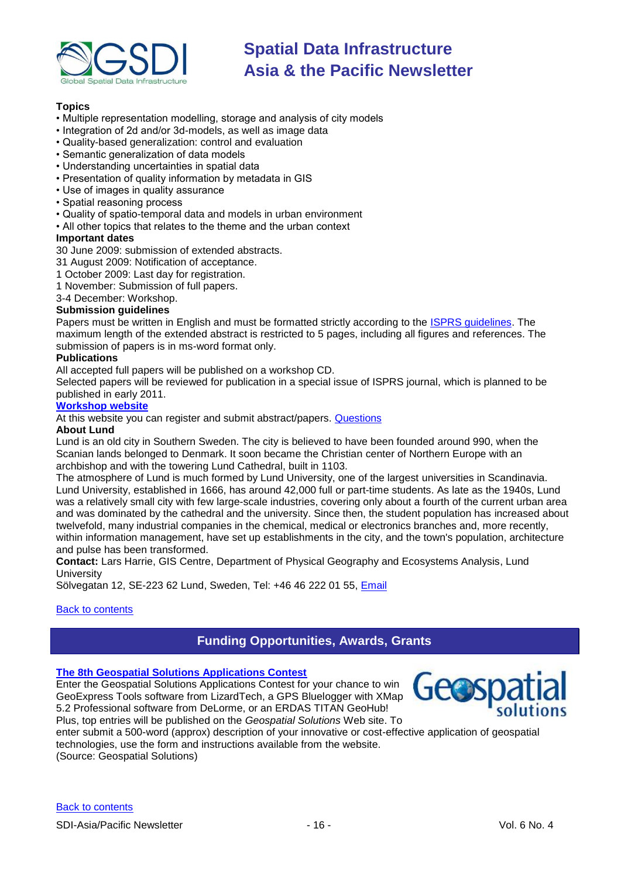![](_page_15_Picture_0.jpeg)

### **Topics**

- Multiple representation modelling, storage and analysis of city models
- Integration of 2d and/or 3d-models, as well as image data
- Quality-based generalization: control and evaluation
- Semantic generalization of data models
- Understanding uncertainties in spatial data
- Presentation of quality information by metadata in GIS
- Use of images in quality assurance
- Spatial reasoning process
- Quality of spatio-temporal data and models in urban environment
- All other topics that relates to the theme and the urban context

#### **Important dates**

30 June 2009: submission of extended abstracts.

- 31 August 2009: Notification of acceptance.
- 1 October 2009: Last day for registration.
- 1 November: Submission of full papers.
- 3-4 December: Workshop.

#### **Submission guidelines**

Papers must be written in English and must be formatted strictly according to the [ISPRS guidelines.](http://www.isprs.org/documents/orangebook/app5.aspx) The maximum length of the extended abstract is restricted to 5 pages, including all figures and references. The submission of papers is in ms-word format only.

#### **Publications**

All accepted full papers will be published on a workshop CD.

Selected papers will be reviewed for publication in a special issue of ISPRS journal, which is planned to be published in early 2011.

#### **[Workshop website](http://isprs.gis.lu.se/)**

At this website you can register and submit abstract/papers. [Questions](mailto:isprs@gis.lu.se)

#### **About Lund**

Lund is an old city in Southern Sweden. The city is believed to have been founded around 990, when the Scanian lands belonged to Denmark. It soon became the Christian center of Northern Europe with an archbishop and with the towering Lund Cathedral, built in 1103.

The atmosphere of Lund is much formed by Lund University, one of the largest universities in Scandinavia. Lund University, established in 1666, has around 42,000 full or part-time students. As late as the 1940s, Lund was a relatively small city with few large-scale industries, covering only about a fourth of the current urban area and was dominated by the cathedral and the university. Since then, the student population has increased about twelvefold, many industrial companies in the chemical, medical or electronics branches and, more recently, within information management, have set up establishments in the city, and the town's population, architecture and pulse has been transformed.

**Contact:** Lars Harrie, GIS Centre, Department of Physical Geography and Ecosystems Analysis, Lund **University** 

Sölvegatan 12, SE-223 62 Lund, Sweden, Tel: +46 46 222 01 55, [Email](mailto:isprs@gis.lu.se)

#### <span id="page-15-0"></span>**[Back to contents](#page-0-3)**

### **Funding Opportunities, Awards, Grants**

#### **[The 8th Geospatial Solutions Applications Contest](http://www.geospatial-solutions.com/applicationsContest)**

Enter the Geospatial Solutions Applications Contest for your chance to win GeoExpress Tools software from LizardTech, a GPS Bluelogger with XMap 5.2 Professional software from DeLorme, or an ERDAS TITAN GeoHub! Plus, top entries will be published on the *Geospatial Solutions* Web site. To

![](_page_15_Picture_35.jpeg)

enter submit a 500-word (approx) description of your innovative or cost-effective application of geospatial technologies, use the form and instructions available from the website.

(Source: Geospatial Solutions)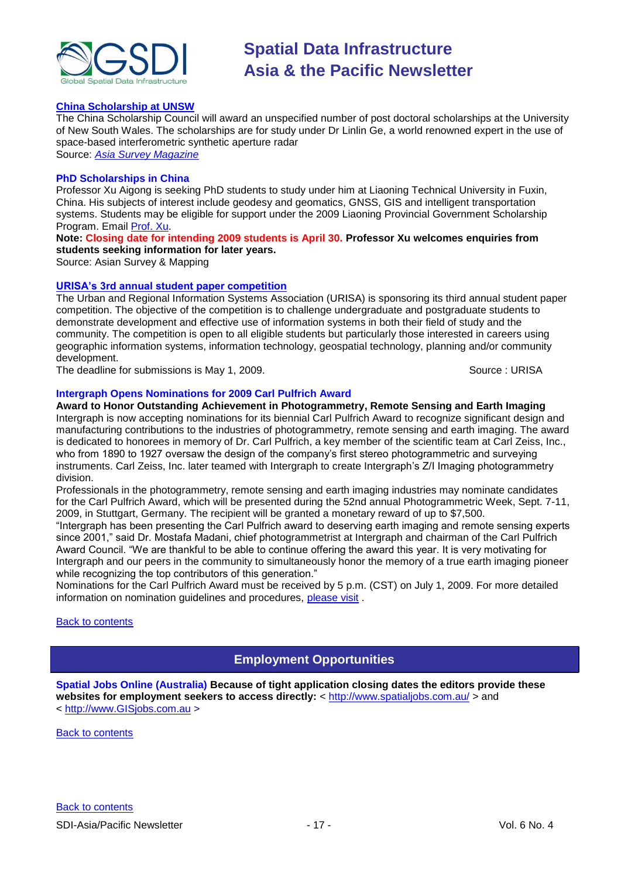![](_page_16_Picture_0.jpeg)

#### **[China Scholarship at UNSW](http://www.asmmag.com/news/Professor%20linlin%20Ge%20scholoarship)**

The China Scholarship Council will award an unspecified number of post doctoral scholarships at the University of New South Wales. The scholarships are for study under Dr Linlin Ge, a world renowned expert in the use of space-based interferometric synthetic aperture radar Source: *[Asia Survey Magazine](http://www.asmmag.com/news/Professor%20linlin%20Ge%20scholoarship)*

#### **PhD Scholarships in China**

Professor Xu Aigong is seeking PhD students to study under him at Liaoning Technical University in Fuxin, China. His subjects of interest include geodesy and geomatics, GNSS, GIS and intelligent transportation systems. Students may be eligible for support under the 2009 Liaoning Provincial Government Scholarship Program. Email [Prof. Xu.](mailto:eagxu@ntu.edu.sg)

**Note: Closing date for intending 2009 students is April 30. Professor Xu welcomes enquiries from students seeking information for later years.**

Source: Asian Survey & Mapping

#### **[URISA's 3rd annual student paper competition](http://www.urisa.org/node/1190)**

The Urban and Regional Information Systems Association (URISA) is sponsoring its third annual student paper competition. The objective of the competition is to challenge undergraduate and postgraduate students to demonstrate development and effective use of information systems in both their field of study and the community. The competition is open to all eligible students but particularly those interested in careers using geographic information systems, information technology, geospatial technology, planning and/or community development.

The deadline for submissions is May 1, 2009. Source: URISA

#### **Intergraph Opens Nominations for 2009 Carl Pulfrich Award**

**Award to Honor Outstanding Achievement in Photogrammetry, Remote Sensing and Earth Imaging**  Intergraph is now accepting nominations for its biennial Carl Pulfrich Award to recognize significant design and manufacturing contributions to the industries of photogrammetry, remote sensing and earth imaging. The award is dedicated to honorees in memory of Dr. Carl Pulfrich, a key member of the scientific team at Carl Zeiss, Inc., who from 1890 to 1927 oversaw the design of the company's first stereo photogrammetric and surveying instruments. Carl Zeiss, Inc. later teamed with Intergraph to create Intergraph's Z/I Imaging photogrammetry division.

Professionals in the photogrammetry, remote sensing and earth imaging industries may nominate candidates for the Carl Pulfrich Award, which will be presented during the 52nd annual Photogrammetric Week, Sept. 7-11, 2009, in Stuttgart, Germany. The recipient will be granted a monetary reward of up to \$7,500.

―Intergraph has been presenting the Carl Pulfrich award to deserving earth imaging and remote sensing experts since 2001," said Dr. Mostafa Madani, chief photogrammetrist at Intergraph and chairman of the Carl Pulfrich Award Council. "We are thankful to be able to continue offering the award this year. It is very motivating for Intergraph and our peers in the community to simultaneously honor the memory of a true earth imaging pioneer while recognizing the top contributors of this generation."

Nominations for the Carl Pulfrich Award must be received by 5 p.m. (CST) on July 1, 2009. For more detailed information on nomination guidelines and procedures, [please visit](http://www.intergraph.com/promo/carlpulfrichaward/) .

#### <span id="page-16-0"></span>**[Back to contents](#page-0-3)**

### **Employment Opportunities**

**Spatial Jobs Online (Australia) Because of tight application closing dates the editors provide these websites for employment seekers to access directly:** <<http://www.spatialjobs.com.au/> > and < [http://www.GISjobs.com.au](http://www.gisjobs.com.au/) >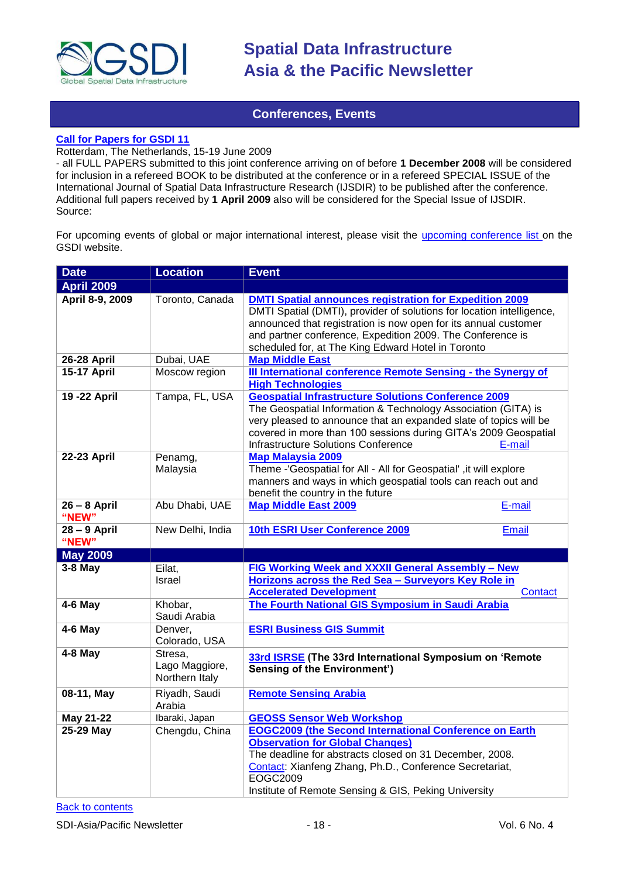![](_page_17_Picture_0.jpeg)

### **Conferences, Events**

#### <span id="page-17-0"></span>**[Call for Papers for GSDI 11](http://gsdi.org/gsdi11/papers.html)**

Rotterdam, The Netherlands, 15-19 June 2009

- all FULL PAPERS submitted to this joint conference arriving on of before **1 December 2008** will be considered for inclusion in a refereed BOOK to be distributed at the conference or in a refereed SPECIAL ISSUE of the International Journal of Spatial Data Infrastructure Research (IJSDIR) to be published after the conference. Additional full papers received by **1 April 2009** also will be considered for the Special Issue of IJSDIR. Source:

For upcoming events of global or major international interest, please visit the [upcoming conference list o](http://gsdi.org/events/upcnf.asp)n the GSDI website.

| <b>Date</b>             | <b>Location</b>                             | <b>Event</b>                                                                                                                                                                                                                                                                                                                   |
|-------------------------|---------------------------------------------|--------------------------------------------------------------------------------------------------------------------------------------------------------------------------------------------------------------------------------------------------------------------------------------------------------------------------------|
| <b>April 2009</b>       |                                             |                                                                                                                                                                                                                                                                                                                                |
| April 8-9, 2009         | Toronto, Canada                             | <b>DMTI Spatial announces registration for Expedition 2009</b><br>DMTI Spatial (DMTI), provider of solutions for location intelligence,<br>announced that registration is now open for its annual customer<br>and partner conference, Expedition 2009. The Conference is<br>scheduled for, at The King Edward Hotel in Toronto |
| 26-28 April             | Dubai, UAE                                  | <b>Map Middle East</b>                                                                                                                                                                                                                                                                                                         |
| <b>15-17 April</b>      | Moscow region                               | III International conference Remote Sensing - the Synergy of<br><b>High Technologies</b>                                                                                                                                                                                                                                       |
| 19 - 22 April           | Tampa, FL, USA                              | <b>Geospatial Infrastructure Solutions Conference 2009</b><br>The Geospatial Information & Technology Association (GITA) is<br>very pleased to announce that an expanded slate of topics will be<br>covered in more than 100 sessions during GITA's 2009 Geospatial<br><b>Infrastructure Solutions Conference</b><br>E-mail    |
| 22-23 April             | Penamg,<br>Malaysia                         | <b>Map Malaysia 2009</b><br>Theme -'Geospatial for All - All for Geospatial', it will explore<br>manners and ways in which geospatial tools can reach out and<br>benefit the country in the future                                                                                                                             |
| $26 - 8$ April<br>"NEW" | Abu Dhabi, UAE                              | <b>Map Middle East 2009</b><br>E-mail                                                                                                                                                                                                                                                                                          |
| 28 - 9 April<br>"NEW"   | New Delhi, India                            | 10th ESRI User Conference 2009<br><b>Email</b>                                                                                                                                                                                                                                                                                 |
| <b>May 2009</b>         |                                             |                                                                                                                                                                                                                                                                                                                                |
| $3-8$ May               | Eilat,<br>Israel                            | FIG Working Week and XXXII General Assembly - New<br>Horizons across the Red Sea - Surveyors Key Role in<br><b>Accelerated Development</b><br>Contact                                                                                                                                                                          |
| $4-6$ May               | Khobar,<br>Saudi Arabia                     | The Fourth National GIS Symposium in Saudi Arabia                                                                                                                                                                                                                                                                              |
| 4-6 May                 | Denver,<br>Colorado, USA                    | <b>ESRI Business GIS Summit</b>                                                                                                                                                                                                                                                                                                |
| $4-8$ May               | Stresa,<br>Lago Maggiore,<br>Northern Italy | 33rd ISRSE (The 33rd International Symposium on 'Remote<br><b>Sensing of the Environment')</b>                                                                                                                                                                                                                                 |
| 08-11, May              | Riyadh, Saudi<br>Arabia                     | <b>Remote Sensing Arabia</b>                                                                                                                                                                                                                                                                                                   |
| May 21-22               | Ibaraki, Japan                              | <b>GEOSS Sensor Web Workshop</b>                                                                                                                                                                                                                                                                                               |
| 25-29 May               | Chengdu, China                              | <b>EOGC2009 (the Second International Conference on Earth</b><br><b>Observation for Global Changes)</b><br>The deadline for abstracts closed on 31 December, 2008.<br>Contact: Xianfeng Zhang, Ph.D., Conference Secretariat,<br>EOGC2009<br>Institute of Remote Sensing & GIS, Peking University                              |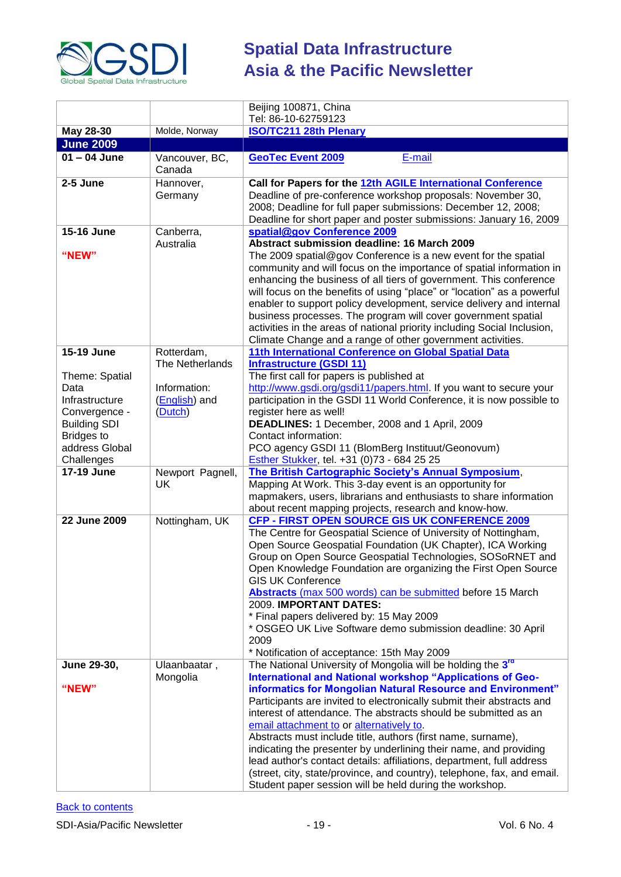![](_page_18_Picture_0.jpeg)

|                                 |                          | Beijing 100871, China                                                                                                                     |
|---------------------------------|--------------------------|-------------------------------------------------------------------------------------------------------------------------------------------|
|                                 | Molde, Norway            | Tel: 86-10-62759123                                                                                                                       |
| May 28-30<br><b>June 2009</b>   |                          | <b>ISO/TC211 28th Plenary</b>                                                                                                             |
| $01 - 04$ June                  | Vancouver, BC,           | <b>GeoTec Event 2009</b><br>E-mail                                                                                                        |
|                                 | Canada                   |                                                                                                                                           |
| 2-5 June                        | Hannover,                | Call for Papers for the 12th AGILE International Conference                                                                               |
|                                 | Germany                  | Deadline of pre-conference workshop proposals: November 30,                                                                               |
|                                 |                          | 2008; Deadline for full paper submissions: December 12, 2008;                                                                             |
| 15-16 June                      |                          | Deadline for short paper and poster submissions: January 16, 2009<br>spatial@gov Conference 2009                                          |
|                                 | Canberra,<br>Australia   | Abstract submission deadline: 16 March 2009                                                                                               |
| "NEW"                           |                          | The 2009 spatial@gov Conference is a new event for the spatial                                                                            |
|                                 |                          | community and will focus on the importance of spatial information in                                                                      |
|                                 |                          | enhancing the business of all tiers of government. This conference                                                                        |
|                                 |                          | will focus on the benefits of using "place" or "location" as a powerful                                                                   |
|                                 |                          | enabler to support policy development, service delivery and internal                                                                      |
|                                 |                          | business processes. The program will cover government spatial<br>activities in the areas of national priority including Social Inclusion, |
|                                 |                          | Climate Change and a range of other government activities.                                                                                |
| <b>15-19 June</b>               | Rotterdam,               | 11th International Conference on Global Spatial Data                                                                                      |
|                                 | The Netherlands          | <b>Infrastructure (GSDI 11)</b>                                                                                                           |
| Theme: Spatial                  |                          | The first call for papers is published at                                                                                                 |
| Data                            | Information:             | http://www.gsdi.org/gsdi11/papers.html. If you want to secure your                                                                        |
| Infrastructure<br>Convergence - | (English) and<br>(Dutch) | participation in the GSDI 11 World Conference, it is now possible to<br>register here as well!                                            |
| <b>Building SDI</b>             |                          | DEADLINES: 1 December, 2008 and 1 April, 2009                                                                                             |
| <b>Bridges to</b>               |                          | Contact information:                                                                                                                      |
| address Global                  |                          | PCO agency GSDI 11 (BlomBerg Instituut/Geonovum)                                                                                          |
| Challenges                      |                          | Esther Stukker, tel. +31 (0)73 - 684 25 25                                                                                                |
| <b>17-19 June</b>               | Newport Pagnell,<br>UK   | The British Cartographic Society's Annual Symposium,<br>Mapping At Work. This 3-day event is an opportunity for                           |
|                                 |                          | mapmakers, users, librarians and enthusiasts to share information                                                                         |
|                                 |                          | about recent mapping projects, research and know-how.                                                                                     |
| 22 June 2009                    | Nottingham, UK           | CFP - FIRST OPEN SOURCE GIS UK CONFERENCE 2009                                                                                            |
|                                 |                          | The Centre for Geospatial Science of University of Nottingham,                                                                            |
|                                 |                          | Open Source Geospatial Foundation (UK Chapter), ICA Working                                                                               |
|                                 |                          | Group on Open Source Geospatial Technologies, SOSoRNET and<br>Open Knowledge Foundation are organizing the First Open Source              |
|                                 |                          | <b>GIS UK Conference</b>                                                                                                                  |
|                                 |                          | Abstracts (max 500 words) can be submitted before 15 March                                                                                |
|                                 |                          | 2009. IMPORTANT DATES:                                                                                                                    |
|                                 |                          | * Final papers delivered by: 15 May 2009                                                                                                  |
|                                 |                          | * OSGEO UK Live Software demo submission deadline: 30 April<br>2009                                                                       |
|                                 |                          | * Notification of acceptance: 15th May 2009                                                                                               |
| June 29-30,                     | Ulaanbaatar,             | The National University of Mongolia will be holding the 3rd                                                                               |
|                                 | Mongolia                 | International and National workshop "Applications of Geo-                                                                                 |
| "NEW"                           |                          | informatics for Mongolian Natural Resource and Environment"                                                                               |
|                                 |                          | Participants are invited to electronically submit their abstracts and<br>interest of attendance. The abstracts should be submitted as an  |
|                                 |                          | email attachment to or alternatively to.                                                                                                  |
|                                 |                          | Abstracts must include title, authors (first name, surname),                                                                              |
|                                 |                          | indicating the presenter by underlining their name, and providing                                                                         |
|                                 |                          | lead author's contact details: affiliations, department, full address                                                                     |
|                                 |                          | (street, city, state/province, and country), telephone, fax, and email.                                                                   |
|                                 |                          | Student paper session will be held during the workshop.                                                                                   |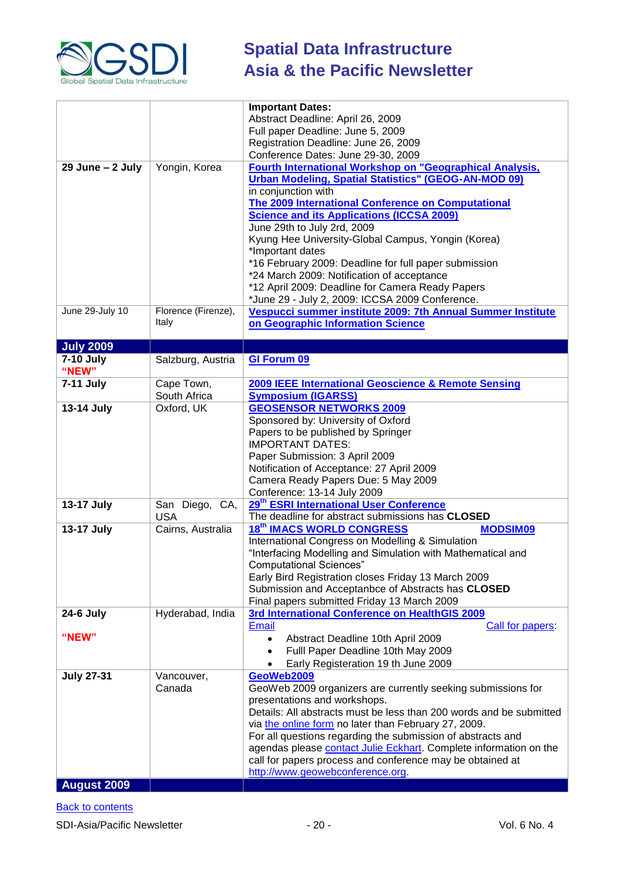![](_page_19_Picture_0.jpeg)

|                     |                     | <b>Important Dates:</b>                                             |
|---------------------|---------------------|---------------------------------------------------------------------|
|                     |                     | Abstract Deadline: April 26, 2009                                   |
|                     |                     | Full paper Deadline: June 5, 2009                                   |
|                     |                     | Registration Deadline: June 26, 2009                                |
|                     |                     | Conference Dates: June 29-30, 2009                                  |
| $29$ June $-2$ July | Yongin, Korea       | Fourth International Workshop on "Geographical Analysis,            |
|                     |                     | <b>Urban Modeling, Spatial Statistics" (GEOG-AN-MOD 09)</b>         |
|                     |                     | in conjunction with                                                 |
|                     |                     | <b>The 2009 International Conference on Computational</b>           |
|                     |                     | <b>Science and its Applications (ICCSA 2009)</b>                    |
|                     |                     | June 29th to July 2rd, 2009                                         |
|                     |                     | Kyung Hee University-Global Campus, Yongin (Korea)                  |
|                     |                     | *Important dates                                                    |
|                     |                     | *16 February 2009: Deadline for full paper submission               |
|                     |                     | *24 March 2009: Notification of acceptance                          |
|                     |                     | *12 April 2009: Deadline for Camera Ready Papers                    |
|                     |                     | *June 29 - July 2, 2009: ICCSA 2009 Conference.                     |
| June 29-July 10     | Florence (Firenze), | Vespucci summer institute 2009: 7th Annual Summer Institute         |
|                     | Italy               | on Geographic Information Science                                   |
|                     |                     |                                                                     |
| <b>July 2009</b>    |                     |                                                                     |
| <b>7-10 July</b>    | Salzburg, Austria   | <b>GI Forum 09</b>                                                  |
| "NEW"               |                     |                                                                     |
| 7-11 July           | Cape Town,          | 2009 IEEE International Geoscience & Remote Sensing                 |
|                     | South Africa        | <b>Symposium (IGARSS)</b>                                           |
| 13-14 July          | Oxford, UK          | <b>GEOSENSOR NETWORKS 2009</b>                                      |
|                     |                     | Sponsored by: University of Oxford                                  |
|                     |                     | Papers to be published by Springer                                  |
|                     |                     | <b>IMPORTANT DATES:</b>                                             |
|                     |                     | Paper Submission: 3 April 2009                                      |
|                     |                     | Notification of Acceptance: 27 April 2009                           |
|                     |                     | Camera Ready Papers Due: 5 May 2009                                 |
|                     |                     | Conference: 13-14 July 2009                                         |
| 13-17 July          | San Diego, CA,      | 29 <sup>th</sup> ESRI International User Conference                 |
|                     | <b>USA</b>          | The deadline for abstract submissions has CLOSED                    |
| 13-17 July          | Cairns, Australia   | <b>18th IMACS WORLD CONGRESS</b><br><b>MODSIM09</b>                 |
|                     |                     | International Congress on Modelling & Simulation                    |
|                     |                     | "Interfacing Modelling and Simulation with Mathematical and         |
|                     |                     | <b>Computational Sciences"</b>                                      |
|                     |                     | Early Bird Registration closes Friday 13 March 2009                 |
|                     |                     | Submission and Acceptanbce of Abstracts has CLOSED                  |
|                     |                     | Final papers submitted Friday 13 March 2009                         |
| <b>24-6 July</b>    | Hyderabad, India    | 3rd International Conference on HealthGIS 2009                      |
|                     |                     | <b>Email</b><br>Call for papers:                                    |
| "NEW"               |                     | Abstract Deadline 10th April 2009                                   |
|                     |                     | Fulll Paper Deadline 10th May 2009                                  |
|                     |                     | Early Registeration 19 th June 2009                                 |
| <b>July 27-31</b>   | Vancouver,          | GeoWeb2009                                                          |
|                     | Canada              | GeoWeb 2009 organizers are currently seeking submissions for        |
|                     |                     | presentations and workshops.                                        |
|                     |                     | Details: All abstracts must be less than 200 words and be submitted |
|                     |                     | via the online form no later than February 27, 2009.                |
|                     |                     | For all questions regarding the submission of abstracts and         |
|                     |                     | agendas please contact Julie Eckhart. Complete information on the   |
|                     |                     | call for papers process and conference may be obtained at           |
|                     |                     | http://www.geowebconference.org.                                    |
| <b>August 2009</b>  |                     |                                                                     |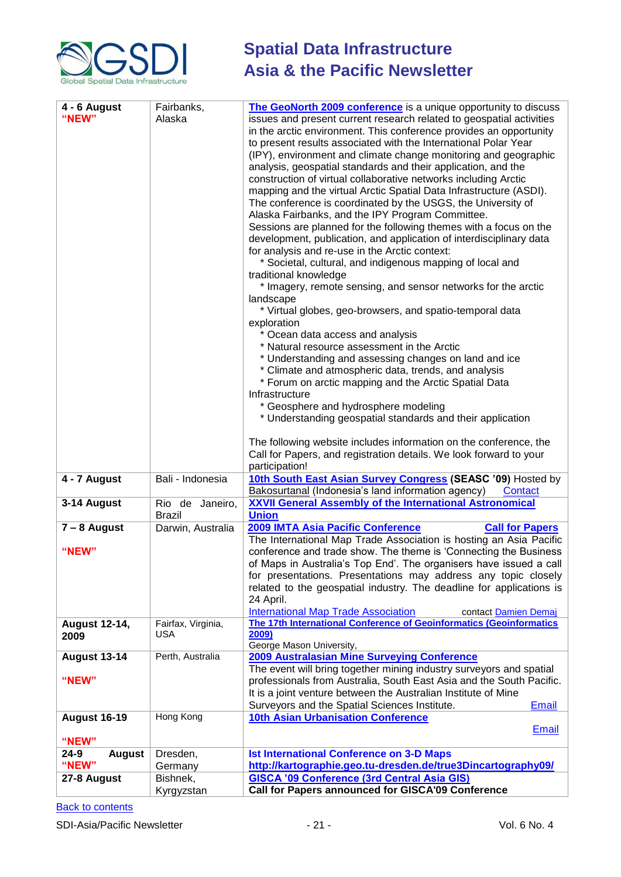![](_page_20_Picture_0.jpeg)

| 4 - 6 August<br>"NEW"          | Fairbanks,<br>Alaska                | The GeoNorth 2009 conference is a unique opportunity to discuss<br>issues and present current research related to geospatial activities<br>in the arctic environment. This conference provides an opportunity<br>to present results associated with the International Polar Year<br>(IPY), environment and climate change monitoring and geographic<br>analysis, geospatial standards and their application, and the<br>construction of virtual collaborative networks including Arctic<br>mapping and the virtual Arctic Spatial Data Infrastructure (ASDI).<br>The conference is coordinated by the USGS, the University of<br>Alaska Fairbanks, and the IPY Program Committee.<br>Sessions are planned for the following themes with a focus on the<br>development, publication, and application of interdisciplinary data<br>for analysis and re-use in the Arctic context:<br>* Societal, cultural, and indigenous mapping of local and<br>traditional knowledge<br>* Imagery, remote sensing, and sensor networks for the arctic<br>landscape<br>* Virtual globes, geo-browsers, and spatio-temporal data<br>exploration<br>* Ocean data access and analysis<br>* Natural resource assessment in the Arctic<br>* Understanding and assessing changes on land and ice<br>* Climate and atmospheric data, trends, and analysis<br>* Forum on arctic mapping and the Arctic Spatial Data<br>Infrastructure<br>* Geosphere and hydrosphere modeling<br>* Understanding geospatial standards and their application<br>The following website includes information on the conference, the<br>Call for Papers, and registration details. We look forward to your<br>participation! |
|--------------------------------|-------------------------------------|----------------------------------------------------------------------------------------------------------------------------------------------------------------------------------------------------------------------------------------------------------------------------------------------------------------------------------------------------------------------------------------------------------------------------------------------------------------------------------------------------------------------------------------------------------------------------------------------------------------------------------------------------------------------------------------------------------------------------------------------------------------------------------------------------------------------------------------------------------------------------------------------------------------------------------------------------------------------------------------------------------------------------------------------------------------------------------------------------------------------------------------------------------------------------------------------------------------------------------------------------------------------------------------------------------------------------------------------------------------------------------------------------------------------------------------------------------------------------------------------------------------------------------------------------------------------------------------------------------------------------------------------------------------------------------|
| 4 - 7 August<br>3-14 August    | Bali - Indonesia<br>Rio de Janeiro, | 10th South East Asian Survey Congress (SEASC '09) Hosted by<br>Bakosurtanal (Indonesia's land information agency)<br>Contact<br><b>XXVII General Assembly of the International Astronomical</b>                                                                                                                                                                                                                                                                                                                                                                                                                                                                                                                                                                                                                                                                                                                                                                                                                                                                                                                                                                                                                                                                                                                                                                                                                                                                                                                                                                                                                                                                                  |
|                                | <b>Brazil</b>                       | <b>Union</b>                                                                                                                                                                                                                                                                                                                                                                                                                                                                                                                                                                                                                                                                                                                                                                                                                                                                                                                                                                                                                                                                                                                                                                                                                                                                                                                                                                                                                                                                                                                                                                                                                                                                     |
| $7 - 8$ August<br>"NEW"        | Darwin, Australia                   | 2009 IMTA Asia Pacific Conference<br><b>Call for Papers</b><br>The International Map Trade Association is hosting an Asia Pacific<br>conference and trade show. The theme is 'Connecting the Business'<br>of Maps in Australia's Top End'. The organisers have issued a call<br>for presentations. Presentations may address any topic closely<br>related to the geospatial industry. The deadline for applications is<br>24 April.<br><b>International Map Trade Association</b><br>contact Damien Demai                                                                                                                                                                                                                                                                                                                                                                                                                                                                                                                                                                                                                                                                                                                                                                                                                                                                                                                                                                                                                                                                                                                                                                        |
| <b>August 12-14,</b><br>2009   | Fairfax, Virginia,<br><b>USA</b>    | The 17th International Conference of Geoinformatics (Geoinformatics<br>2009)                                                                                                                                                                                                                                                                                                                                                                                                                                                                                                                                                                                                                                                                                                                                                                                                                                                                                                                                                                                                                                                                                                                                                                                                                                                                                                                                                                                                                                                                                                                                                                                                     |
| <b>August 13-14</b><br>"NEW"   | Perth, Australia                    | George Mason University,<br><b>2009 Australasian Mine Surveying Conference</b><br>The event will bring together mining industry surveyors and spatial<br>professionals from Australia, South East Asia and the South Pacific.<br>It is a joint venture between the Australian Institute of Mine<br>Surveyors and the Spatial Sciences Institute.<br><b>Email</b>                                                                                                                                                                                                                                                                                                                                                                                                                                                                                                                                                                                                                                                                                                                                                                                                                                                                                                                                                                                                                                                                                                                                                                                                                                                                                                                 |
| <b>August 16-19</b><br>"NEW"   | Hong Kong                           | <b>10th Asian Urbanisation Conference</b><br><b>Email</b>                                                                                                                                                                                                                                                                                                                                                                                                                                                                                                                                                                                                                                                                                                                                                                                                                                                                                                                                                                                                                                                                                                                                                                                                                                                                                                                                                                                                                                                                                                                                                                                                                        |
| 24-9<br><b>August</b><br>"NEW" | Dresden,<br>Germany                 | <b>Ist International Conference on 3-D Maps</b><br>http://kartographie.geo.tu-dresden.de/true3Dincartography09/                                                                                                                                                                                                                                                                                                                                                                                                                                                                                                                                                                                                                                                                                                                                                                                                                                                                                                                                                                                                                                                                                                                                                                                                                                                                                                                                                                                                                                                                                                                                                                  |
| 27-8 August                    | Bishnek,<br>Kyrgyzstan              | <b>GISCA '09 Conference (3rd Central Asia GIS)</b><br>Call for Papers announced for GISCA'09 Conference                                                                                                                                                                                                                                                                                                                                                                                                                                                                                                                                                                                                                                                                                                                                                                                                                                                                                                                                                                                                                                                                                                                                                                                                                                                                                                                                                                                                                                                                                                                                                                          |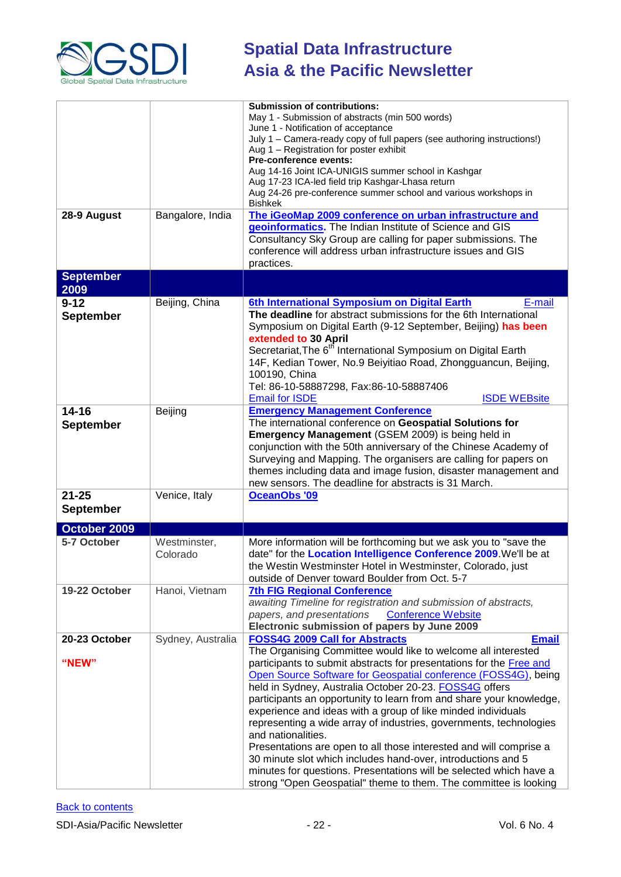![](_page_21_Picture_0.jpeg)

|                  |                   | <b>Submission of contributions:</b>                                                                                                |
|------------------|-------------------|------------------------------------------------------------------------------------------------------------------------------------|
|                  |                   | May 1 - Submission of abstracts (min 500 words)                                                                                    |
|                  |                   | June 1 - Notification of acceptance                                                                                                |
|                  |                   | July 1 - Camera-ready copy of full papers (see authoring instructions!)                                                            |
|                  |                   | Aug 1 - Registration for poster exhibit                                                                                            |
|                  |                   | Pre-conference events:                                                                                                             |
|                  |                   | Aug 14-16 Joint ICA-UNIGIS summer school in Kashgar                                                                                |
|                  |                   | Aug 17-23 ICA-led field trip Kashgar-Lhasa return<br>Aug 24-26 pre-conference summer school and various workshops in               |
|                  |                   | <b>Bishkek</b>                                                                                                                     |
| 28-9 August      | Bangalore, India  | The iGeoMap 2009 conference on urban infrastructure and                                                                            |
|                  |                   | geoinformatics. The Indian Institute of Science and GIS                                                                            |
|                  |                   | Consultancy Sky Group are calling for paper submissions. The                                                                       |
|                  |                   | conference will address urban infrastructure issues and GIS                                                                        |
|                  |                   | practices.                                                                                                                         |
|                  |                   |                                                                                                                                    |
| <b>September</b> |                   |                                                                                                                                    |
| 2009             |                   |                                                                                                                                    |
| $9 - 12$         | Beijing, China    | 6th International Symposium on Digital Earth<br>E-mail                                                                             |
| <b>September</b> |                   | The deadline for abstract submissions for the 6th International                                                                    |
|                  |                   | Symposium on Digital Earth (9-12 September, Beijing) has been                                                                      |
|                  |                   | extended to 30 April                                                                                                               |
|                  |                   | Secretariat, The 6 <sup>th</sup> International Symposium on Digital Earth                                                          |
|                  |                   | 14F, Kedian Tower, No.9 Beiyitiao Road, Zhongguancun, Beijing,                                                                     |
|                  |                   | 100190, China                                                                                                                      |
|                  |                   | Tel: 86-10-58887298, Fax:86-10-58887406                                                                                            |
|                  |                   | <b>Email for ISDE</b><br><b>ISDE WEBsite</b>                                                                                       |
| $14 - 16$        | Beijing           | <b>Emergency Management Conference</b>                                                                                             |
| <b>September</b> |                   | The international conference on Geospatial Solutions for                                                                           |
|                  |                   | Emergency Management (GSEM 2009) is being held in                                                                                  |
|                  |                   | conjunction with the 50th anniversary of the Chinese Academy of                                                                    |
|                  |                   | Surveying and Mapping. The organisers are calling for papers on                                                                    |
|                  |                   | themes including data and image fusion, disaster management and                                                                    |
|                  |                   | new sensors. The deadline for abstracts is 31 March.                                                                               |
| $21 - 25$        | Venice, Italy     | OceanObs '09                                                                                                                       |
| <b>September</b> |                   |                                                                                                                                    |
|                  |                   |                                                                                                                                    |
| October 2009     |                   |                                                                                                                                    |
| 5-7 October      | Westminster,      | More information will be forthcoming but we ask you to "save the                                                                   |
|                  | Colorado          | date" for the Location Intelligence Conference 2009. We'll be at                                                                   |
|                  |                   | the Westin Westminster Hotel in Westminster, Colorado, just                                                                        |
|                  |                   | outside of Denver toward Boulder from Oct. 5-7                                                                                     |
| 19-22 October    | Hanoi, Vietnam    | <b>7th FIG Regional Conference</b>                                                                                                 |
|                  |                   | awaiting Timeline for registration and submission of abstracts,                                                                    |
|                  |                   | <b>Conference Website</b><br>papers, and presentations                                                                             |
|                  |                   | Electronic submission of papers by June 2009                                                                                       |
| 20-23 October    | Sydney, Australia | <b>FOSS4G 2009 Call for Abstracts</b><br><b>Email</b>                                                                              |
|                  |                   | The Organising Committee would like to welcome all interested                                                                      |
| "NEW"            |                   | participants to submit abstracts for presentations for the Free and                                                                |
|                  |                   | Open Source Software for Geospatial conference (FOSS4G), being                                                                     |
|                  |                   | held in Sydney, Australia October 20-23. FOSS4G offers                                                                             |
|                  |                   | participants an opportunity to learn from and share your knowledge,                                                                |
|                  |                   | experience and ideas with a group of like minded individuals                                                                       |
|                  |                   | representing a wide array of industries, governments, technologies                                                                 |
|                  |                   |                                                                                                                                    |
|                  |                   | and nationalities.                                                                                                                 |
|                  |                   | Presentations are open to all those interested and will comprise a                                                                 |
|                  |                   |                                                                                                                                    |
|                  |                   | 30 minute slot which includes hand-over, introductions and 5<br>minutes for questions. Presentations will be selected which have a |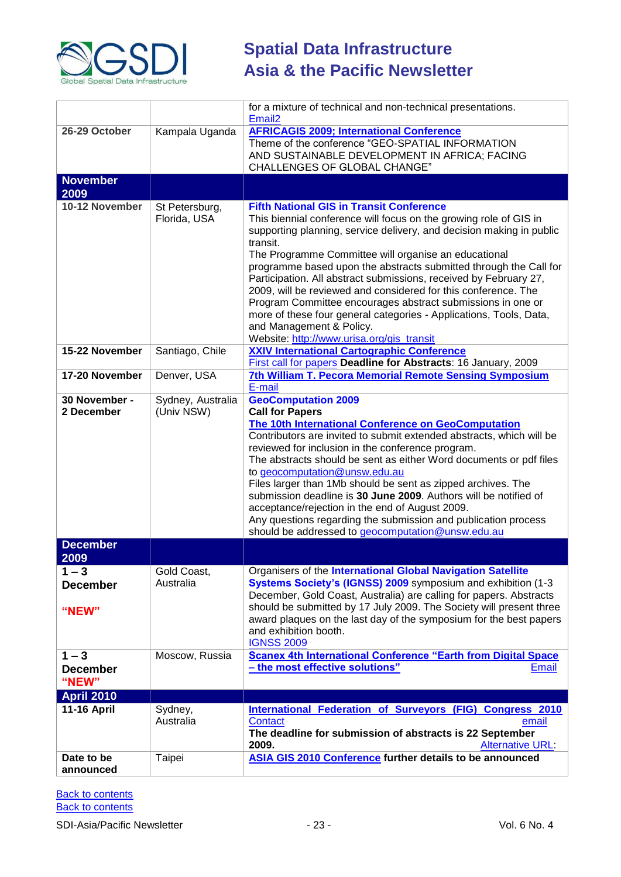![](_page_22_Picture_0.jpeg)

|                                     |                                 | for a mixture of technical and non-technical presentations.<br>Email <sub>2</sub>                                                                                                                                                                                                                                                                                                                                                                                                                                                                                                                                                                                                          |
|-------------------------------------|---------------------------------|--------------------------------------------------------------------------------------------------------------------------------------------------------------------------------------------------------------------------------------------------------------------------------------------------------------------------------------------------------------------------------------------------------------------------------------------------------------------------------------------------------------------------------------------------------------------------------------------------------------------------------------------------------------------------------------------|
| 26-29 October                       | Kampala Uganda                  | <b>AFRICAGIS 2009; International Conference</b><br>Theme of the conference "GEO-SPATIAL INFORMATION<br>AND SUSTAINABLE DEVELOPMENT IN AFRICA; FACING<br><b>CHALLENGES OF GLOBAL CHANGE"</b>                                                                                                                                                                                                                                                                                                                                                                                                                                                                                                |
| <b>November</b><br>2009             |                                 |                                                                                                                                                                                                                                                                                                                                                                                                                                                                                                                                                                                                                                                                                            |
| 10-12 November                      | St Petersburg,<br>Florida, USA  | <b>Fifth National GIS in Transit Conference</b><br>This biennial conference will focus on the growing role of GIS in<br>supporting planning, service delivery, and decision making in public<br>transit.<br>The Programme Committee will organise an educational<br>programme based upon the abstracts submitted through the Call for<br>Participation. All abstract submissions, received by February 27,<br>2009, will be reviewed and considered for this conference. The<br>Program Committee encourages abstract submissions in one or<br>more of these four general categories - Applications, Tools, Data,<br>and Management & Policy.<br>Website: http://www.urisa.org/gis_transit |
| 15-22 November                      | Santiago, Chile                 | <b>XXIV International Cartographic Conference</b><br>First call for papers Deadline for Abstracts: 16 January, 2009                                                                                                                                                                                                                                                                                                                                                                                                                                                                                                                                                                        |
| 17-20 November                      | Denver, USA                     | 7th William T. Pecora Memorial Remote Sensing Symposium<br>E-mail                                                                                                                                                                                                                                                                                                                                                                                                                                                                                                                                                                                                                          |
| 30 November -<br>2 December         | Sydney, Australia<br>(Univ NSW) | <b>GeoComputation 2009</b><br><b>Call for Papers</b><br>The 10th International Conference on GeoComputation<br>Contributors are invited to submit extended abstracts, which will be<br>reviewed for inclusion in the conference program.<br>The abstracts should be sent as either Word documents or pdf files<br>to geocomputation@unsw.edu.au<br>Files larger than 1Mb should be sent as zipped archives. The<br>submission deadline is 30 June 2009. Authors will be notified of<br>acceptance/rejection in the end of August 2009.<br>Any questions regarding the submission and publication process<br>should be addressed to geocomputation@unsw.edu.au                              |
| <b>December</b><br>2009             |                                 |                                                                                                                                                                                                                                                                                                                                                                                                                                                                                                                                                                                                                                                                                            |
| $1 - 3$<br><b>December</b><br>"NEW" | Gold Coast,<br>Australia        | Organisers of the <i>International Global Navigation Satellite</i><br>Systems Society's (IGNSS) 2009 symposium and exhibition (1-3<br>December, Gold Coast, Australia) are calling for papers. Abstracts<br>should be submitted by 17 July 2009. The Society will present three<br>award plaques on the last day of the symposium for the best papers<br>and exhibition booth.<br><b>IGNSS 2009</b>                                                                                                                                                                                                                                                                                        |
| $1 - 3$<br><b>December</b><br>"NEW" | Moscow, Russia                  | <b>Scanex 4th International Conference "Earth from Digital Space</b><br>- the most effective solutions"<br><b>Email</b>                                                                                                                                                                                                                                                                                                                                                                                                                                                                                                                                                                    |
| <b>April 2010</b>                   |                                 |                                                                                                                                                                                                                                                                                                                                                                                                                                                                                                                                                                                                                                                                                            |
| <b>11-16 April</b>                  | Sydney,<br>Australia            | International Federation of Surveyors (FIG) Congress 2010<br>Contact<br>email<br>The deadline for submission of abstracts is 22 September<br>2009.<br><b>Alternative URL:</b>                                                                                                                                                                                                                                                                                                                                                                                                                                                                                                              |
| Date to be<br>announced             | Taipei                          | <b>ASIA GIS 2010 Conference further details to be announced</b>                                                                                                                                                                                                                                                                                                                                                                                                                                                                                                                                                                                                                            |

**Back to contents [Back to contents](#page-0-3)**